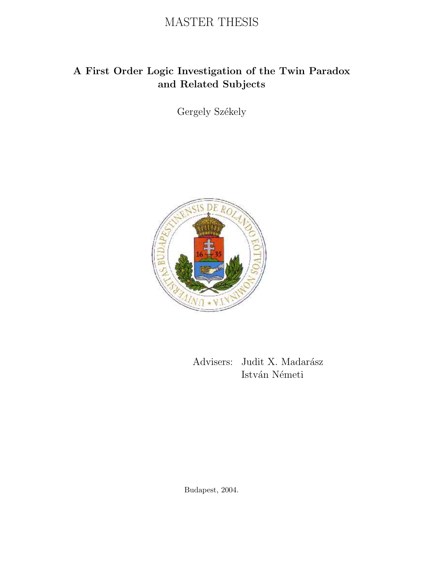## MASTER THESIS

## A First Order Logic Investigation of the Twin Paradox and Related Subjects

Gergely Székely



Advisers: Judit X. Madarász István Németi

Budapest, 2004.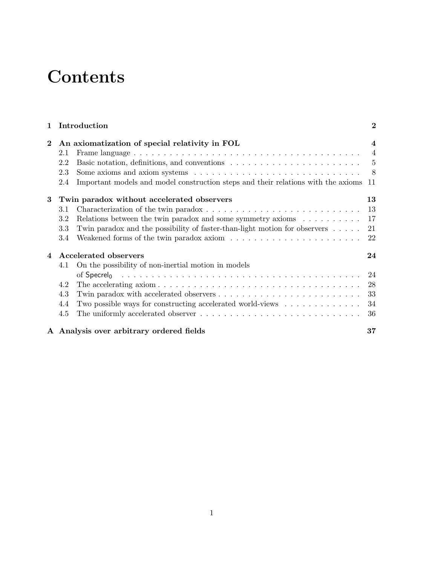# **Contents**

| 1                      |                                            | Introduction                                                                                                                                                 | $\bf{2}$       |
|------------------------|--------------------------------------------|--------------------------------------------------------------------------------------------------------------------------------------------------------------|----------------|
| $\bf{2}$               |                                            | An axiomatization of special relativity in FOL                                                                                                               |                |
|                        | 2.1                                        |                                                                                                                                                              | $\overline{4}$ |
|                        | 2.2                                        |                                                                                                                                                              | 5              |
|                        | 2.3                                        |                                                                                                                                                              | - 8            |
|                        | 2.4                                        | Important models and model construction steps and their relations with the axioms                                                                            | 11             |
| 3                      | Twin paradox without accelerated observers |                                                                                                                                                              | 13             |
|                        | 3.1                                        |                                                                                                                                                              | 13             |
|                        | 3.2                                        | Relations between the twin paradox and some symmetry axioms $\dots \dots \dots$                                                                              | 17             |
|                        | 3.3                                        | Twin paradox and the possibility of faster-than-light motion for observers                                                                                   | 21             |
|                        | 3.4                                        | Weakened forms of the twin paradox axiom $\ldots \ldots \ldots \ldots \ldots \ldots \ldots \ldots$                                                           | 22             |
| $\boldsymbol{\Lambda}$ | Accelerated observers                      |                                                                                                                                                              | 24             |
|                        | 4.1                                        | On the possibility of non-inertial motion in models                                                                                                          |                |
|                        |                                            | of $\text{Specrel}_0$ $\ldots$ $\ldots$ $\ldots$ $\ldots$ $\ldots$ $\ldots$ $\ldots$ $\ldots$ $\ldots$ $\ldots$ $\ldots$ $\ldots$ $\ldots$ $\ldots$ $\ldots$ | 24             |
|                        | 4.2                                        |                                                                                                                                                              | 28             |
|                        | 4.3                                        |                                                                                                                                                              | 33             |
|                        | 4.4                                        | Two possible ways for constructing accelerated world-views                                                                                                   | 34             |
|                        | 4.5                                        |                                                                                                                                                              | 36             |
|                        |                                            | A Analysis over arbitrary ordered fields                                                                                                                     | 37             |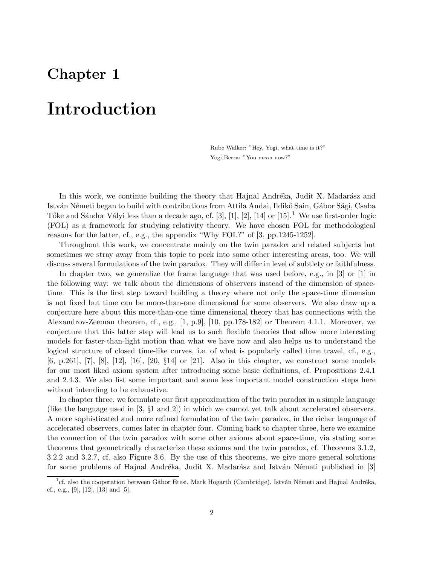# Chapter 1 Introduction

Rube Walker: "Hey, Yogi, what time is it?" Yogi Berra: "You mean now?"

In this work, we continue building the theory that Hajnal Andréka, Judit X. Madarász and István Németi began to build with contributions from Attila Andai, Ildikó Sain, Gábor Sági, Csaba Tőke and Sándor Vályi less than a decade ago, cf. [3], [1], [2], [14] or  $[15]$ .<sup>1</sup> We use first-order logic (FOL) as a framework for studying relativity theory. We have chosen FOL for methodological reasons for the latter, cf., e.g., the appendix "Why FOL?" of [3, pp.1245-1252].

Throughout this work, we concentrate mainly on the twin paradox and related subjects but sometimes we stray away from this topic to peek into some other interesting areas, too. We will discuss several formulations of the twin paradox. They will differ in level of subtlety or faithfulness.

In chapter two, we generalize the frame language that was used before, e.g., in [3] or [1] in the following way: we talk about the dimensions of observers instead of the dimension of spacetime. This is the first step toward building a theory where not only the space-time dimension is not fixed but time can be more-than-one dimensional for some observers. We also draw up a conjecture here about this more-than-one time dimensional theory that has connections with the Alexandrov-Zeeman theorem, cf., e.g., [1, p.9], [10, pp.178-182] or Theorem 4.1.1. Moreover, we conjecture that this latter step will lead us to such flexible theories that allow more interesting models for faster-than-light motion than what we have now and also helps us to understand the logical structure of closed time-like curves, i.e. of what is popularly called time travel, cf., e.g., [6, p.261], [7], [8], [12], [16], [20, §14] or [21]. Also in this chapter, we construct some models for our most liked axiom system after introducing some basic definitions, cf. Propositions 2.4.1 and 2.4.3. We also list some important and some less important model construction steps here without intending to be exhaustive.

In chapter three, we formulate our first approximation of the twin paradox in a simple language (like the language used in [3, §1 and 2]) in which we cannot yet talk about accelerated observers. A more sophisticated and more refined formulation of the twin paradox, in the richer language of accelerated observers, comes later in chapter four. Coming back to chapter three, here we examine the connection of the twin paradox with some other axioms about space-time, via stating some theorems that geometrically characterize these axioms and the twin paradox, cf. Theorems 3.1.2, 3.2.2 and 3.2.7, cf. also Figure 3.6. By the use of this theorems, we give more general solutions for some problems of Hajnal Andréka, Judit X. Madarász and István Németi published in [3]

<sup>&</sup>lt;sup>1</sup>cf. also the cooperation between Gábor Etesi, Mark Hogarth (Cambridge), István Németi and Hajnal Andréka, cf., e.g., [9], [12], [13] and [5].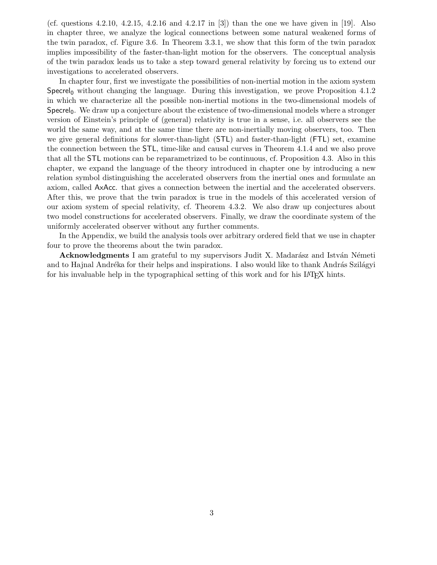(cf. questions 4.2.10, 4.2.15, 4.2.16 and 4.2.17 in [3]) than the one we have given in [19]. Also in chapter three, we analyze the logical connections between some natural weakened forms of the twin paradox, cf. Figure 3.6. In Theorem 3.3.1, we show that this form of the twin paradox implies impossibility of the faster-than-light motion for the observers. The conceptual analysis of the twin paradox leads us to take a step toward general relativity by forcing us to extend our investigations to accelerated observers.

In chapter four, first we investigate the possibilities of non-inertial motion in the axiom system  $Specrel<sub>0</sub>$  without changing the language. During this investigation, we prove Proposition 4.1.2 in which we characterize all the possible non-inertial motions in the two-dimensional models of  $Specel<sub>0</sub>$ . We draw up a conjecture about the existence of two-dimensional models where a stronger version of Einstein's principle of (general) relativity is true in a sense, i.e. all observers see the world the same way, and at the same time there are non-inertially moving observers, too. Then we give general definitions for slower-than-light (STL) and faster-than-light (FTL) set, examine the connection between the STL, time-like and causal curves in Theorem 4.1.4 and we also prove that all the STL motions can be reparametrized to be continuous, cf. Proposition 4.3. Also in this chapter, we expand the language of the theory introduced in chapter one by introducing a new relation symbol distinguishing the accelerated observers from the inertial ones and formulate an axiom, called AxAcc. that gives a connection between the inertial and the accelerated observers. After this, we prove that the twin paradox is true in the models of this accelerated version of our axiom system of special relativity, cf. Theorem 4.3.2. We also draw up conjectures about two model constructions for accelerated observers. Finally, we draw the coordinate system of the uniformly accelerated observer without any further comments.

In the Appendix, we build the analysis tools over arbitrary ordered field that we use in chapter four to prove the theorems about the twin paradox.

**Acknowledgments** I am grateful to my supervisors Judit X. Madarász and István Németi and to Hajnal Andréka for their helps and inspirations. I also would like to thank András Szilágyi for his invaluable help in the typographical setting of this work and for his L<sup>AT</sup>EX hints.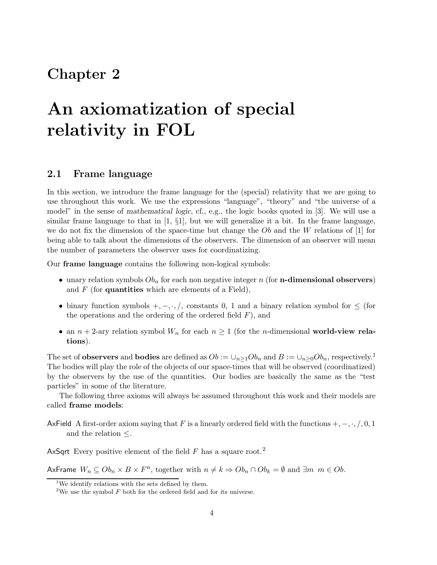## Chapter 2

# An axiomatization of special relativity in FOL

### 2.1 Frame language

In this section, we introduce the frame language for the (special) relativity that we are going to use throughout this work. We use the expressions "language", "theory" and "the universe of a model" in the sense of mathematical logic, cf., e.g., the logic books quoted in [3]. We will use a similar frame language to that in  $[1, \S1]$ , but we will generalize it a bit. In the frame language, we do not fix the dimension of the space-time but change the  $Ob$  and the W relations of [1] for being able to talk about the dimensions of the observers. The dimension of an observer will mean the number of parameters the observer uses for coordinatizing.

Our frame language contains the following non-logical symbols:

- unary relation symbols  $Ob_n$  for each non negative integer n (for **n-dimensional observers**) and  $F$  (for **quantities** which are elements of a Field),
- binary function symbols  $+,-, \cdot, /$ , constants 0, 1 and a binary relation symbol for  $\leq$  (for the operations and the ordering of the ordered field  $F$ ), and
- an  $n + 2$ -ary relation symbol  $W_n$  for each  $n \geq 1$  (for the *n*-dimensional world-view relations).

The set of **observers** and **bodies** are defined as  $Ob := \cup_{n \geq 1} Ob_n$  and  $B := \cup_{n \geq 0} Ob_n$ , respectively.<sup>1</sup> The bodies will play the role of the objects of our space-times that will be observed (coordinatized) by the observers by the use of the quantities. Our bodies are basically the same as the "test particles" in some of the literature.

The following three axioms will always be assumed throughout this work and their models are called frame models:

AxField A first-order axiom saying that F is a linearly ordered field with the functions  $+,-, \cdot, /, 0, 1$ and the relation  $\leq$ .

AxSqrt Every positive element of the field  $F$  has a square root.<sup>2</sup>

AxFrame  $W_n \subseteq Ob_n \times B \times F^n$ , together with  $n \neq k \Rightarrow Ob_n \cap Ob_k = \emptyset$  and  $\exists m \ m \in Ob$ .

<sup>&</sup>lt;sup>1</sup>We identify relations with the sets defined by them.

<sup>&</sup>lt;sup>2</sup>We use the symbol  $F$  both for the ordered field and for its universe.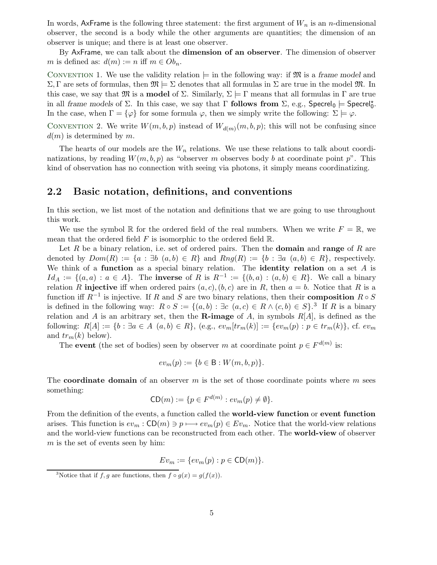In words, AxFrame is the following three statement: the first argument of  $W_n$  is an n-dimensional observer, the second is a body while the other arguments are quantities; the dimension of an observer is unique; and there is at least one observer.

By AxFrame, we can talk about the dimension of an observer. The dimension of observer m is defined as:  $d(m) := n$  iff  $m \in Ob_n$ .

CONVENTION 1. We use the validity relation  $\models$  in the following way: if M is a frame model and  $\Sigma$ , Γ are sets of formulas, then  $\mathfrak{M} \models \Sigma$  denotes that all formulas in  $\Sigma$  are true in the model  $\mathfrak{M}$ . In this case, we say that  $\mathfrak{M}$  is a **model** of  $\Sigma$ . Similarly,  $\Sigma \models \Gamma$  means that all formulas in  $\Gamma$  are true in all frame models of  $\Sigma$ . In this case, we say that  $\Gamma$  follows from  $\Sigma$ , e.g., Specrel<sub>0</sub>  $\models$  Specrel<sub>0</sub>. In the case, when  $\Gamma = {\varphi}$  for some formula  $\varphi$ , then we simply write the following:  $\Sigma \models \varphi$ .

CONVENTION 2. We write  $W(m, b, p)$  instead of  $W_{d(m)}(m, b, p)$ ; this will not be confusing since  $d(m)$  is determined by m.

The hearts of our models are the  $W_n$  relations. We use these relations to talk about coordinatizations, by reading  $W(m, b, p)$  as "observer m observes body b at coordinate point p". This kind of observation has no connection with seeing via photons, it simply means coordinatizing.

#### 2.2 Basic notation, definitions, and conventions

In this section, we list most of the notation and definitions that we are going to use throughout this work.

We use the symbol R for the ordered field of the real numbers. When we write  $F = \mathbb{R}$ , we mean that the ordered field  $F$  is isomorphic to the ordered field  $\mathbb{R}$ .

Let R be a binary relation, i.e. set of ordered pairs. Then the **domain** and **range** of R are denoted by  $Dom(R) := \{a : \exists b \ (a, b) \in R\}$  and  $Rng(R) := \{b : \exists a \ (a, b) \in R\}$ , respectively. We think of a function as a special binary relation. The identity relation on a set  $A$  is  $Id_A := \{(a, a) : a \in A\}$ . The **inverse** of R is  $R^{-1} := \{(b, a) : (a, b) \in R\}$ . We call a binary relation R injective iff when ordered pairs  $(a, c), (b, c)$  are in R, then  $a = b$ . Notice that R is a function iff  $R^{-1}$  is injective. If R and S are two binary relations, then their **composition**  $R \circ S$ is defined in the following way:  $R \circ S := \{(a, b) : \exists c \ (a, c) \in R \land (c, b) \in S\}$ <sup>3</sup> If R is a binary relation and A is an arbitrary set, then the **R-image** of A, in symbols  $R[A]$ , is defined as the following:  $R[A] := \{b : \exists a \in A \ (a, b) \in R\},\ (e.g., ev_m[tr_m(k)] := \{ev_m(p) : p \in tr_m(k)\},\$ cf.  $ev_m$ and  $tr_m(k)$  below).

The **event** (the set of bodies) seen by observer m at coordinate point  $p \in F^{d(m)}$  is:

$$
ev_m(p) := \{b \in B : W(m, b, p)\}.
$$

The **coordinate domain** of an observer m is the set of those coordinate points where m sees something:

$$
CD(m) := \{ p \in F^{d(m)} : ev_m(p) \neq \emptyset \}.
$$

From the definition of the events, a function called the world-view function or event function arises. This function is  $ev_m : \mathsf{CD}(m) \ni p \longmapsto ev_m(p) \in Ev_m$ . Notice that the world-view relations and the world-view functions can be reconstructed from each other. The world-view of observer  $m$  is the set of events seen by him:

$$
Ev_m := \{ev_m(p) : p \in \mathsf{CD}(m)\}.
$$

<sup>&</sup>lt;sup>3</sup>Notice that if f, g are functions, then  $f \circ g(x) = g(f(x))$ .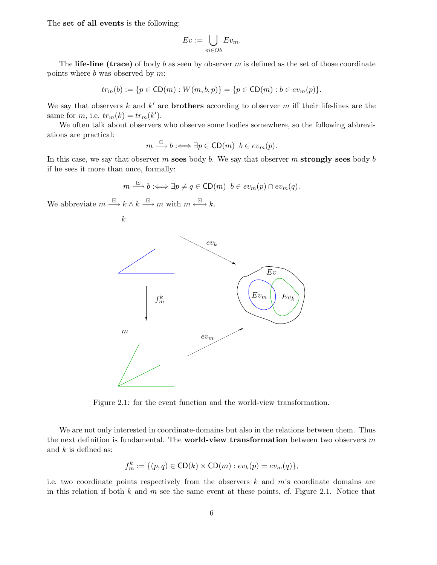The set of all events is the following:

$$
Ev := \bigcup_{m \in Ob} Ev_m.
$$

The life-line (trace) of body b as seen by observer m is defined as the set of those coordinate points where  $b$  was observed by  $m$ :

$$
tr_m(b) := \{ p \in \mathsf{CD}(m) : W(m, b, p) \} = \{ p \in \mathsf{CD}(m) : b \in ev_m(p) \}.
$$

We say that observers  $k$  and  $k'$  are **brothers** according to observer  $m$  iff their life-lines are the same for m, i.e.  $tr_m(k) = tr_m(k')$ .

We often talk about observers who observe some bodies somewhere, so the following abbreviations are practical:

$$
m \xrightarrow{\odot} b :\Longleftrightarrow \exists p \in \mathsf{CD}(m) \ \ b \in ev_m(p).
$$

In this case, we say that observer m sees body b. We say that observer m strongly sees body b if he sees it more than once, formally:

$$
m \xrightarrow{\Box} b :\Longleftrightarrow \exists p \neq q \in \mathsf{CD}(m) \ \ b \in ev_m(p) \cap ev_m(q).
$$

We abbreviate  $m \stackrel{\boxdot}{\longrightarrow} k \wedge k \stackrel{\boxdot}{\longrightarrow} m$  with  $m \stackrel{\boxdot}{\longleftrightarrow} k$ .



Figure 2.1: for the event function and the world-view transformation.

We are not only interested in coordinate-domains but also in the relations between them. Thus the next definition is fundamental. The **world-view transformation** between two observers m and  $k$  is defined as:

$$
f_m^k := \{ (p, q) \in \mathsf{CD}(k) \times \mathsf{CD}(m) : ev_k(p) = ev_m(q) \},
$$

i.e. two coordinate points respectively from the observers  $k$  and  $m$ 's coordinate domains are in this relation if both k and m see the same event at these points, cf. Figure 2.1. Notice that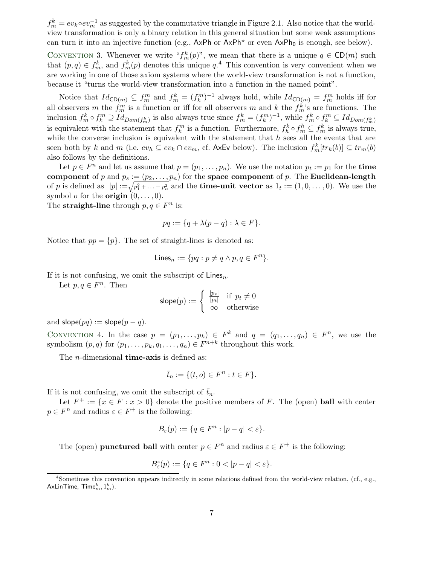$f_m^k = ev_k \circ ev_m^{-1}$  as suggested by the commutative triangle in Figure 2.1. Also notice that the worldview transformation is only a binary relation in this general situation but some weak assumptions can turn it into an injective function (e.g.,  $AxPh$  or  $AxPh^*$  or even  $AxPh_0$  is enough, see below).

CONVENTION 3. Whenever we write " $f_m^k(p)$ ", we mean that there is a unique  $q \in \mathsf{CD}(m)$  such that  $(p, q) \in f_m^k$ , and  $f_m^k(p)$  denotes this unique  $q$ .<sup>4</sup> This convention is very convenient when we are working in one of those axiom systems where the world-view transformation is not a function, because it "turns the world-view transformation into a function in the named point".

Notice that  $Id_{CD(m)} \subseteq f_m^m$  and  $f_m^k = (f_k^m)^{-1}$  always hold, while  $Id_{CD(m)} = f_m^m$  holds iff for all observers m the  $f_m^m$  is a function or iff for all observers m and k the  $f_m^k$ 's are functions. The inclusion  $f_m^k \circ f_k^m \supseteq Id_{Dom(f_m^k)}$  is also always true since  $f_m^k = (f_k^m)^{-1}$ , while  $f_m^k \circ f_k^m \subseteq Id_{Dom(f_m^k)}$ is equivalent with the statement that  $f_k^m$  is a function. Furthermore,  $f_k^k \circ f_m^h \subseteq f_m^k$  is always true, while the converse inclusion is equivalent with the statement that  $h$  sees all the events that are seen both by k and m (i.e.  $ev_h \subseteq ev_k \cap ev_m$ , cf. AxEv below). The inclusion  $f_m^k[tr_k(b)] \subseteq tr_m(b)$ also follows by the definitions.

Let  $p \in F^n$  and let us assume that  $p = (p_1, \ldots, p_n)$ . We use the notation  $p_t := p_1$  for the **time** component of p and  $p_s := (p_2, \ldots, p_n)$  for the space component of p. The Euclidean-length of p is defined as  $|p| := \sqrt{p_1^2 + \ldots + p_n^2}$  and the **time-unit vector** as  $1_t := (1, 0, \ldots, 0)$ . We use the symbol  $o$  for the **origin**  $(0, \ldots, 0)$ .

The **straight-line** through  $p, q \in F^n$  is:

$$
pq := \{q + \lambda(p - q) : \lambda \in F\}.
$$

Notice that  $pp = \{p\}$ . The set of straight-lines is denoted as:

$$
\mathsf{Lines}_n := \{ pq : p \neq q \land p, q \in F^n \}.
$$

If it is not confusing, we omit the subscript of  $\mathsf{Lines}_n$ .

Let  $p, q \in F^n$ . Then

$$
\mathsf{slope}(p) := \left\{ \begin{array}{ll} \frac{|p_s|}{|p_t|} & \text{if } p_t \neq 0\\ \infty & \text{otherwise} \end{array} \right.
$$

and  $\textsf{slope}(pq) := \textsf{slope}(p - q)$ .

CONVENTION 4. In the case  $p = (p_1, \ldots, p_k) \in F^k$  and  $q = (q_1, \ldots, q_n) \in F^n$ , we use the symbolism  $(p, q)$  for  $(p_1, \ldots, p_k, q_1, \ldots, q_n) \in F^{n+k}$  throughout this work.

The *n*-dimensional **time-axis** is defined as:

$$
\bar{t}_n:=\{(t,o)\in F^n:t\in F\}.
$$

If it is not confusing, we omit the subscript of  $\bar{t}_n$ .

Let  $F^+ := \{x \in F : x > 0\}$  denote the positive members of F. The (open) **ball** with center  $p \in F^n$  and radius  $\varepsilon \in F^+$  is the following:

$$
B_{\varepsilon}(p) := \{ q \in F^n : |p - q| < \varepsilon \}.
$$

The (open) **punctured ball** with center  $p \in F^n$  and radius  $\varepsilon \in F^+$  is the following:

$$
B_{\varepsilon}^{\circ}(p) := \{ q \in F^n : 0 < |p - q| < \varepsilon \}.
$$

<sup>4</sup>Sometimes this convention appears indirectly in some relations defined from the world-view relation, (cf., e.g., AxLinTime,  $\mathsf{Time}^k_m, 1^k_m)$ .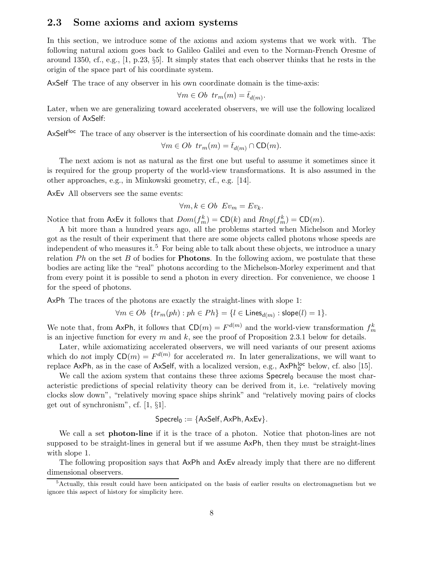### 2.3 Some axioms and axiom systems

In this section, we introduce some of the axioms and axiom systems that we work with. The following natural axiom goes back to Galileo Galilei and even to the Norman-French Oresme of around 1350, cf., e.g., [1, p.23, §5]. It simply states that each observer thinks that he rests in the origin of the space part of his coordinate system.

AxSelf The trace of any observer in his own coordinate domain is the time-axis:

$$
\forall m \in Ob \ \ tr_m(m) = \bar{t}_{d(m)}.
$$

Later, when we are generalizing toward accelerated observers, we will use the following localized version of AxSelf:

AxSelf<sup>loc</sup> The trace of any observer is the intersection of his coordinate domain and the time-axis:

$$
\forall m \in Ob \ \ tr_m(m) = \bar{t}_{d(m)} \cap \mathsf{CD}(m).
$$

The next axiom is not as natural as the first one but useful to assume it sometimes since it is required for the group property of the world-view transformations. It is also assumed in the other approaches, e.g., in Minkowski geometry, cf., e.g. [14].

AxEv All observers see the same events:

$$
\forall m, k \in Ob \ Ev_m = Ev_k.
$$

Notice that from  $AxEv$  it follows that  $Dom(f_m^k) = CD(k)$  and  $Rng(f_m^k) = CD(m)$ .

A bit more than a hundred years ago, all the problems started when Michelson and Morley got as the result of their experiment that there are some objects called photons whose speeds are independent of who measures it.<sup>5</sup> For being able to talk about these objects, we introduce a unary relation  $Ph$  on the set  $B$  of bodies for **Photons**. In the following axiom, we postulate that these bodies are acting like the "real" photons according to the Michelson-Morley experiment and that from every point it is possible to send a photon in every direction. For convenience, we choose 1 for the speed of photons.

AxPh The traces of the photons are exactly the straight-lines with slope 1:

$$
\forall m \in Ob \ \{tr_m(ph) : ph \in Ph\} = \{l \in Lines_{d(m)} : slope(l) = 1\}.
$$

We note that, from AxPh, it follows that  $CD(m) = F^{d(m)}$  and the world-view transformation  $f_m^k$ is an injective function for every  $m$  and  $k$ , see the proof of Proposition 2.3.1 below for details.

Later, while axiomatizing accelerated observers, we will need variants of our present axioms which do not imply  $CD(m) = F^{d(m)}$  for accelerated m. In later generalizations, we will want to replace  $AxPh$ , as in the case of  $AxSelf$ , with a localized version, e.g.,  $AxPh_0^{loc}$  below, cf. also [15].

We call the axiom system that contains these three axioms  $Specrel<sub>0</sub>$  because the most characteristic predictions of special relativity theory can be derived from it, i.e. "relatively moving clocks slow down", "relatively moving space ships shrink" and "relatively moving pairs of clocks get out of synchronism", cf. [1, §1].

$$
Spectral_0 := \{AxSelf, AxPh, AxEv\}.
$$

We call a set **photon-line** if it is the trace of a photon. Notice that photon-lines are not supposed to be straight-lines in general but if we assume AxPh, then they must be straight-lines with slope 1.

The following proposition says that AxPh and AxEv already imply that there are no different dimensional observers.

<sup>&</sup>lt;sup>5</sup>Actually, this result could have been anticipated on the basis of earlier results on electromagnetism but we ignore this aspect of history for simplicity here.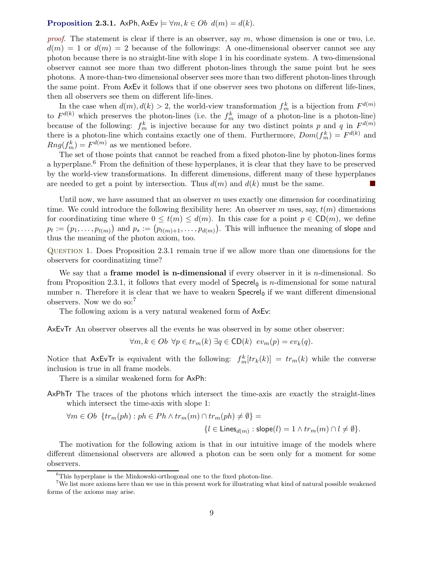#### **Proposition 2.3.1.** AxPh, AxEv  $\models \forall m, k \in Ob \ d(m) = d(k)$ .

*proof.* The statement is clear if there is an observer, say  $m$ , whose dimension is one or two, i.e.  $d(m) = 1$  or  $d(m) = 2$  because of the followings: A one-dimensional observer cannot see any photon because there is no straight-line with slope 1 in his coordinate system. A two-dimensional observer cannot see more than two different photon-lines through the same point but he sees photons. A more-than-two dimensional observer sees more than two different photon-lines through the same point. From AxEv it follows that if one observer sees two photons on different life-lines, then all observers see them on different life-lines.

In the case when  $d(m)$ ,  $d(k) > 2$ , the world-view transformation  $f_m^k$  is a bijection from  $F^{d(m)}$ to  $F^{d(k)}$  which preserves the photon-lines (i.e. the  $f_m^k$  image of a photon-line is a photon-line) because of the following:  $f_m^k$  is injective because for any two distinct points p and q in  $F^{d(m)}$ there is a photon-line which contains exactly one of them. Furthermore,  $Dom(f_m^k) = F^{d(k)}$  and  $Rng(f_m^k) = F^{d(m)}$  as we mentioned before.

The set of those points that cannot be reached from a fixed photon-line by photon-lines forms a hyperplane.<sup>6</sup> From the definition of these hyperplanes, it is clear that they have to be preserved by the world-view transformations. In different dimensions, different many of these hyperplanes are needed to get a point by intersection. Thus  $d(m)$  and  $d(k)$  must be the same.

Until now, we have assumed that an observer  $m$  uses exactly one dimension for coordinatizing time. We could introduce the following flexibility here: An observer m uses, say,  $t(m)$  dimensions for coordinatizing time where  $0 \le t(m) \le d(m)$ . In this case for a point  $p \in \mathsf{CD}(m)$ , we define  $p_t := (p_1, \ldots, p_{t(m)})$  and  $p_s := (p_{t(m)+1}, \ldots, p_{d(m)})$ . This will influence the meaning of slope and thus the meaning of the photon axiom, too.

Question 1. Does Proposition 2.3.1 remain true if we allow more than one dimensions for the observers for coordinatizing time?

We say that a **frame model is n-dimensional** if every observer in it is *n*-dimensional. So from Proposition 2.3.1, it follows that every model of  $\text{Speech}_0$  is *n*-dimensional for some natural number n. Therefore it is clear that we have to weaken  $Specel<sub>0</sub>$  if we want different dimensional observers. Now we do so:<sup>7</sup>

The following axiom is a very natural weakened form of AxEv:

AxEvTr An observer observes all the events he was observed in by some other observer:

$$
\forall m, k \in Ob \ \forall p \in tr_m(k) \ \exists q \in \mathsf{CD}(k) \ ev_m(p) = ev_k(q).
$$

Notice that AxEvTr is equivalent with the following:  $f_m^k[tr_k(k)] = tr_m(k)$  while the converse inclusion is true in all frame models.

There is a similar weakened form for AxPh:

AxPhTr The traces of the photons which intersect the time-axis are exactly the straight-lines which intersect the time-axis with slope 1:

$$
\forall m \in Ob \ \{tr_m(ph) : ph \in Ph \wedge tr_m(m) \cap tr_m(ph) \neq \emptyset\} =
$$
  

$$
\{l \in Lines_{d(m)} : slope(l) = 1 \wedge tr_m(m) \cap l \neq \emptyset\}.
$$

The motivation for the following axiom is that in our intuitive image of the models where different dimensional observers are allowed a photon can be seen only for a moment for some observers.

 ${}^{6}$ This hyperplane is the Minkowski-orthogonal one to the fixed photon-line.

<sup>7</sup>We list more axioms here than we use in this present work for illustrating what kind of natural possible weakened forms of the axioms may arise.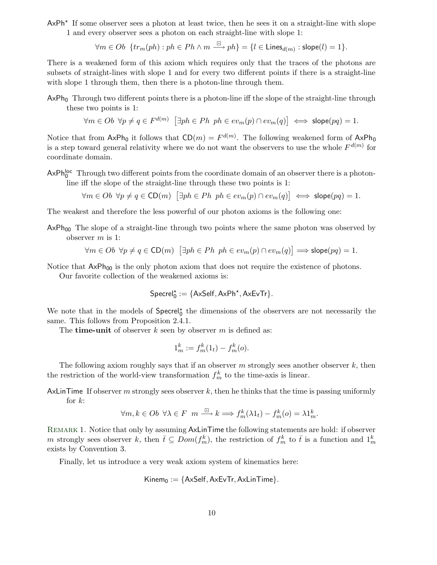AxPh<sup>\*</sup> If some observer sees a photon at least twice, then he sees it on a straight-line with slope 1 and every observer sees a photon on each straight-line with slope 1:

 $\forall m \in Ob \ \{tr_m(ph): ph \in Ph \wedge m \stackrel{\boxdot}{\longrightarrow} ph\} = \{l \in \mathsf{Lines}_{d(m)}: \mathsf{slope}(l) = 1\}.$ 

There is a weakened form of this axiom which requires only that the traces of the photons are subsets of straight-lines with slope 1 and for every two different points if there is a straight-line with slope 1 through them, then there is a photon-line through them.

 $AxPh<sub>0</sub>$  Through two different points there is a photon-line iff the slope of the straight-line through these two points is 1:

 $\forall m \in Ob \ \ \forall p \neq q \in F^{d(m)} \ \ \big[\exists ph \in Ph \ \ ph \in ev_m(p) \cap ev_m(q)\big] \iff \mathsf{slope}(pq) = 1.$ 

Notice that from  $AxPh_0$  it follows that  $CD(m) = F^{d(m)}$ . The following weakened form of  $AxPh_0$ is a step toward general relativity where we do not want the observers to use the whole  $F^{d(m)}$  for coordinate domain.

 $AxPh_0^{loc}$  Through two different points from the coordinate domain of an observer there is a photonline iff the slope of the straight-line through these two points is 1:

$$
\forall m \in Ob \ \forall p \neq q \in \mathsf{CD}(m) \ \left[ \exists ph \in Ph \ ph \in ev_m(p) \cap ev_m(q) \right] \iff \mathsf{slope}(pq) = 1.
$$

The weakest and therefore the less powerful of our photon axioms is the following one:

 $AxPh_{00}$  The slope of a straight-line through two points where the same photon was observed by observer  $m$  is 1:

$$
\forall m \in Ob \ \forall p \neq q \in \mathsf{CD}(m) \ \left[ \exists ph \in Ph \ ph \in ev_m(p) \cap ev_m(q) \right] \Longrightarrow \mathsf{slope}(pq) = 1.
$$

Notice that  $AxPh_{00}$  is the only photon axiom that does not require the existence of photons.

Our favorite collection of the weakened axioms is:

$$
Specrel_0^{\star} := \{AxSelf, AxPh^{\star}, AxEvTr\}.
$$

We note that in the models of  $\text{Specrel}_0^*$  the dimensions of the observers are not necessarily the same. This follows from Proposition 2.4.1.

The **time-unit** of observer k seen by observer m is defined as:

$$
1_m^k := f_m^k(1_t) - f_m^k(o).
$$

The following axiom roughly says that if an observer  $m$  strongly sees another observer  $k$ , then the restriction of the world-view transformation  $f_m^k$  to the time-axis is linear.

AxLinTime If observer m strongly sees observer k, then he thinks that the time is passing uniformly for k:

$$
\forall m, k \in Ob \ \forall \lambda \in F \ m \xrightarrow{\Box} k \Longrightarrow f_m^k(\lambda 1_t) - f_m^k(o) = \lambda 1_m^k.
$$

Remark 1. Notice that only by assuming AxLinTime the following statements are hold: if observer m strongly sees observer k, then  $\bar{t} \subseteq Dom(f_m^k)$ , the restriction of  $f_m^k$  to  $\bar{t}$  is a function and  $1_m^k$ exists by Convention 3.

Finally, let us introduce a very weak axiom system of kinematics here:

$$
Kinem_0 := \{AxSelf, AxEvTr, AxLinTime\}.
$$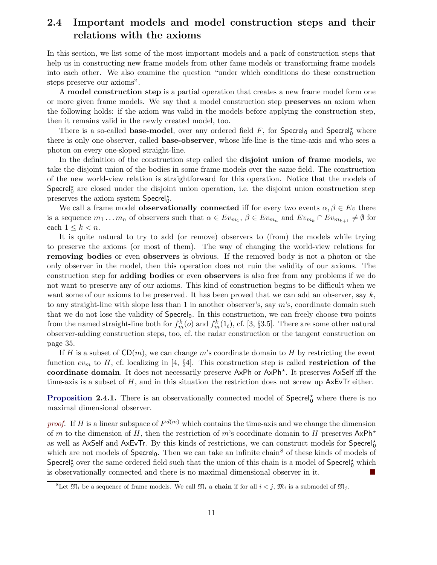## 2.4 Important models and model construction steps and their relations with the axioms

In this section, we list some of the most important models and a pack of construction steps that help us in constructing new frame models from other fame models or transforming frame models into each other. We also examine the question "under which conditions do these construction steps preserve our axioms".

A model construction step is a partial operation that creates a new frame model form one or more given frame models. We say that a model construction step preserves an axiom when the following holds: if the axiom was valid in the models before applying the construction step, then it remains valid in the newly created model, too.

There is a so-called **base-model**, over any ordered field  $F$ , for  $\text{Specrel}_0$  and  $\text{Specrel}_0^*$  where there is only one observer, called **base-observer**, whose life-line is the time-axis and who sees a photon on every one-sloped straight-line.

In the definition of the construction step called the **disjoint union of frame models**, we take the disjoint union of the bodies in some frame models over the same field. The construction of the new world-view relation is straightforward for this operation. Notice that the models of Specrel<sup>\*</sup> are closed under the disjoint union operation, i.e. the disjoint union construction step preserves the axiom system Specrel<sup>\*</sup><sub>0</sub>.

We call a frame model **observationally connected** iff for every two events  $\alpha, \beta \in Ev$  there is a sequence  $m_1 \ldots m_n$  of observers such that  $\alpha \in Ev_{m_1}, \beta \in Ev_{m_n}$  and  $Ev_{m_k} \cap Ev_{m_{k+1}} \neq \emptyset$  for each  $1 \leq k < n$ .

It is quite natural to try to add (or remove) observers to (from) the models while trying to preserve the axioms (or most of them). The way of changing the world-view relations for removing bodies or even observers is obvious. If the removed body is not a photon or the only observer in the model, then this operation does not ruin the validity of our axioms. The construction step for adding bodies or even observers is also free from any problems if we do not want to preserve any of our axioms. This kind of construction begins to be difficult when we want some of our axioms to be preserved. It has been proved that we can add an observer, say  $k$ , to any straight-line with slope less than 1 in another observer's, say  $m$ 's, coordinate domain such that we do not lose the validity of  $Specrel<sub>0</sub>$ . In this construction, we can freely choose two points from the named straight-line both for  $f_m^k(o)$  and  $f_m^k(1_t)$ , cf. [3, §3.5]. There are some other natural observer-adding construction steps, too, cf. the radar construction or the tangent construction on page 35.

If H is a subset of  $\mathsf{CD}(m)$ , we can change m's coordinate domain to H by restricting the event function  $ev_m$  to H, cf. localizing in [4, §4]. This construction step is called **restriction of the** coordinate domain. It does not necessarily preserve AxPh or AxPh<sup>\*</sup>. It preserves AxSelf iff the time-axis is a subset of  $H$ , and in this situation the restriction does not screw up  $A \times F$  reither.

**Proposition 2.4.1.** There is an observationally connected model of Specrel<sup>\*</sup> where there is no maximal dimensional observer.

proof. If H is a linear subspace of  $F^{d(m)}$  which contains the time-axis and we change the dimension of m to the dimension of H, then the restriction of m's coordinate domain to H preserves  $AxPh^*$ as well as AxSelf and AxEvTr. By this kinds of restrictions, we can construct models for Specrel<sup>\*</sup> which are not models of  $\text{Sperel}_0$ . Then we can take an infinite chain<sup>8</sup> of these kinds of models of Specrel<sup>\*</sup> over the same ordered field such that the union of this chain is a model of Specrel<sup>\*</sup> which is observationally connected and there is no maximal dimensional observer in it.

<sup>&</sup>lt;sup>8</sup>Let  $\mathfrak{M}_i$  be a sequence of frame models. We call  $\mathfrak{M}_i$  a **chain** if for all  $i < j$ ,  $\mathfrak{M}_i$  is a submodel of  $\mathfrak{M}_i$ .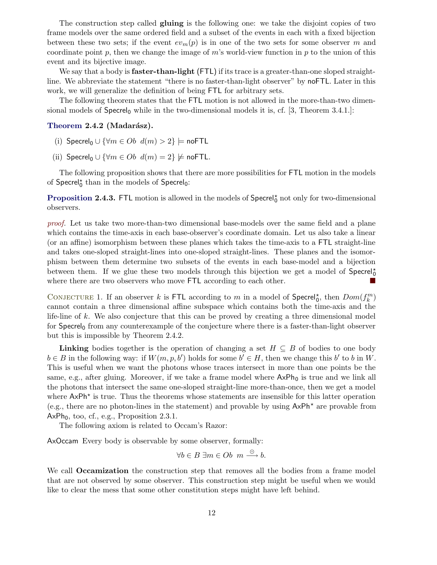The construction step called gluing is the following one: we take the disjoint copies of two frame models over the same ordered field and a subset of the events in each with a fixed bijection between these two sets; if the event  $ev_m(p)$  is in one of the two sets for some observer m and coordinate point p, then we change the image of m's world-view function in p to the union of this event and its bijective image.

We say that a body is **faster-than-light** (FTL) if its trace is a greater-than-one sloped straightline. We abbreviate the statement "there is no faster-than-light observer" by noFTL. Later in this work, we will generalize the definition of being FTL for arbitrary sets.

The following theorem states that the FTL motion is not allowed in the more-than-two dimensional models of  $Specrel_0$  while in the two-dimensional models it is, cf. [3, Theorem 3.4.1.]:

#### Theorem 2.4.2 (Madarász).

- (i) Specrel<sub>0</sub> ∪ { $\forall m \in Ob \, d(m) > 2$ }  $\models$  noFTL
- (ii) Specrel<sub>0</sub> ∪ { $\forall m \in Ob \, d(m) = 2$ }  $\nvdash$  noFTL.

The following proposition shows that there are more possibilities for FTL motion in the models of Specrel<sup>\*</sup> than in the models of Specrel<sup>0:</sup>

**Proposition 2.4.3.** FTL motion is allowed in the models of  $\text{Specrel}_0^{\star}$  not only for two-dimensional observers.

proof. Let us take two more-than-two dimensional base-models over the same field and a plane which contains the time-axis in each base-observer's coordinate domain. Let us also take a linear (or an affine) isomorphism between these planes which takes the time-axis to a FTL straight-line and takes one-sloped straight-lines into one-sloped straight-lines. These planes and the isomorphism between them determine two subsets of the events in each base-model and a bijection between them. If we glue these two models through this bijection we get a model of  $\text{Spec} \mathcal{F}_0^*$ where there are two observers who move FTL according to each other.

CONJECTURE 1. If an observer k is FTL according to m in a model of  $\text{Specrel}_0^{\star}$ , then  $Dom(f_k^m)$ cannot contain a three dimensional affine subspace which contains both the time-axis and the life-line of  $k$ . We also conjecture that this can be proved by creating a three dimensional model for Specrel<sub>0</sub> from any counterexample of the conjecture where there is a faster-than-light observer but this is impossible by Theorem 2.4.2.

**Linking** bodies together is the operation of changing a set  $H \subseteq B$  of bodies to one body  $b \in B$  in the following way: if  $W(m, p, b')$  holds for some  $b' \in H$ , then we change this  $b'$  to b in W. This is useful when we want the photons whose traces intersect in more than one points be the same, e.g., after gluing. Moreover, if we take a frame model where  $AxPh<sub>0</sub>$  is true and we link all the photons that intersect the same one-sloped straight-line more-than-once, then we get a model where  $AxPh*$  is true. Thus the theorems whose statements are insensible for this latter operation (e.g., there are no photon-lines in the statement) and provable by using  $AxPh<sup>*</sup>$  are provable from  $AxPh_0$ , too, cf., e.g., Proposition 2.3.1.

The following axiom is related to Occam's Razor:

AxOccam Every body is observable by some observer, formally:

$$
\forall b \in B \; \exists m \in Ob \; m \stackrel{\odot}{\longrightarrow} b.
$$

We call **Occamization** the construction step that removes all the bodies from a frame model that are not observed by some observer. This construction step might be useful when we would like to clear the mess that some other constitution steps might have left behind.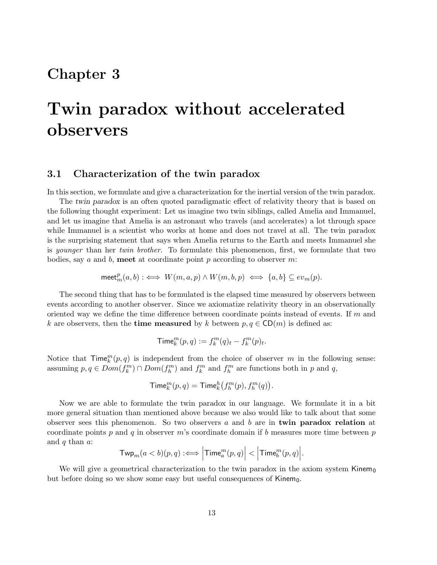## Chapter 3

# Twin paradox without accelerated observers

### 3.1 Characterization of the twin paradox

In this section, we formulate and give a characterization for the inertial version of the twin paradox.

The twin paradox is an often quoted paradigmatic effect of relativity theory that is based on the following thought experiment: Let us imagine two twin siblings, called Amelia and Immanuel, and let us imagine that Amelia is an astronaut who travels (and accelerates) a lot through space while Immanuel is a scientist who works at home and does not travel at all. The twin paradox is the surprising statement that says when Amelia returns to the Earth and meets Immanuel she is younger than her twin brother. To formulate this phenomenon, first, we formulate that two bodies, say a and b, meet at coordinate point p according to observer m:

$$
\textup{meet}^p_m(a,b):\iff W(m,a,p)\wedge W(m,b,p)\iff \{a,b\}\subseteq ev_m(p).
$$

The second thing that has to be formulated is the elapsed time measured by observers between events according to another observer. Since we axiomatize relativity theory in an observationally oriented way we define the time difference between coordinate points instead of events. If  $m$  and k are observers, then the **time measured** by k between  $p, q \in CD(m)$  is defined as:

$$
\mathsf{Time}^m_k(p,q) := f^m_k(q)_t - f^m_k(p)_t.
$$

Notice that  $\textsf{Time}_{k}^{m}(p,q)$  is independent from the choice of observer m in the following sense: assuming  $p, q \in Dom(f_k^m) \cap Dom(f_k^m)$  and  $f_k^m$  and  $f_k^m$  are functions both in p and q,

$$
\mathsf{Time}^m_k(p,q) = \mathsf{Time}^h_k\big(f^m_h(p),f^m_h(q)\big).
$$

Now we are able to formulate the twin paradox in our language. We formulate it in a bit more general situation than mentioned above because we also would like to talk about that some observer sees this phenomenon. So two observers a and b are in twin paradox relation at coordinate points p and q in observer  $m$ 's coordinate domain if b measures more time between p and  $q$  than  $a$ :

$$
\mathsf{Twp}_m(a
$$

We will give a geometrical characterization to the twin paradox in the axiom system Kinem<sub>0</sub> but before doing so we show some easy but useful consequences of  $\text{Kinem}_0$ .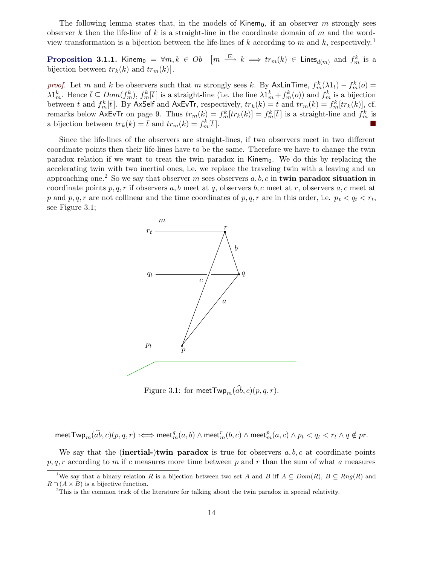The following lemma states that, in the models of  $\mathsf{Kinem}_0$ , if an observer m strongly sees observer k then the life-line of k is a straight-line in the coordinate domain of m and the wordview transformation is a bijection between the life-lines of  $k$  according to  $m$  and  $k$ , respectively.<sup>1</sup>

**Proposition 3.1.1.** Kinem<sub>0</sub>  $\models \forall m, k \in Ob \quad [m \stackrel{\boxdot}{\longrightarrow} k \implies tr_m(k) \in Lines_{d(m)} \text{ and } f_m^k \text{ is a }$ bijection between  $tr_k(k)$  and  $tr_m(k)$ .

proof. Let m and k be observers such that m strongly sees k. By AxLinTime,  $f_m^k(\lambda 1_t) - f_m^k(o) =$  $\lambda 1_m^k$ . Hence  $\bar{t} \subseteq Dom(f_m^k)$ ,  $f_m^k[\bar{t}]$  is a straight-line (i.e. the line  $\lambda 1_m^k + f_m^k(o)$ ) and  $f_m^k$  is a bijection between  $\bar{t}$  and  $f_m^k[\bar{t}]$ . By AxSelf and AxEvTr, respectively,  $tr_k(k) = \bar{t}$  and  $tr_m(k) = f_m^k[tr_k(k)]$ , cf. remarks below AxEvTr on page 9. Thus  $tr_m(k) = f_m^k[tr_k(k)] = f_m^k[\bar{t}]$  is a straight-line and  $f_m^k$  is a bijection between  $tr_k(k) = \overline{t}$  and  $tr_m(k) = f_m^k$  $\frac{k}{m}[\bar{t}].$ 

Since the life-lines of the observers are straight-lines, if two observers meet in two different coordinate points then their life-lines have to be the same. Therefore we have to change the twin paradox relation if we want to treat the twin paradox in  $\text{Kinem}_0$ . We do this by replacing the accelerating twin with two inertial ones, i.e. we replace the traveling twin with a leaving and an approaching one.<sup>2</sup> So we say that observer m sees observers a, b, c in twin paradox situation in coordinate points  $p, q, r$  if observers  $a, b$  meet at q, observers  $b, c$  meet at r, observers  $a, c$  meet at p and p, q, r are not collinear and the time coordinates of  $p, q, r$  are in this order, i.e.  $p_t < q_t < r_t$ , see Figure 3.1;



Figure 3.1: for meetTwp<sub>m</sub> $(\widehat{ab}, c)(p, q, r)$ .

 ${\sf meetTwp}_m(\widehat{ab},c)(p,q,r):\Longleftrightarrow {\sf meet}_m^q(a,b)\wedge {\sf meet}_m^p(b,c)\wedge {\sf meet}_m^p(a,c)\wedge p_t$ 

We say that the (inertial-)twin paradox is true for observers  $a, b, c$  at coordinate points  $p, q, r$  according to m if c measures more time between p and r than the sum of what a measures

<sup>&</sup>lt;sup>1</sup>We say that a binary relation R is a bijection between two set A and B iff  $A \subseteq Dom(R)$ ,  $B \subseteq Rnq(R)$  and  $R \cap (A \times B)$  is a bijective function.

<sup>&</sup>lt;sup>2</sup>This is the common trick of the literature for talking about the twin paradox in special relativity.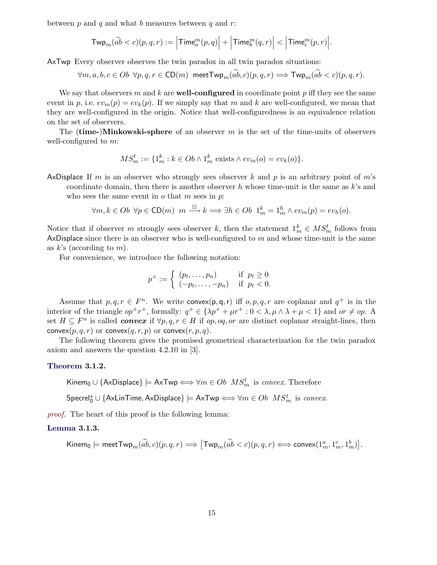between  $p$  and  $q$  and what  $b$  measures between  $q$  and  $r$ :

$$
\mathsf{Twp}_m(\widehat{ab} < c)(p, q, r) := \Big|\mathsf{Time}_{a}^{m}(p, q)\Big| + \Big|\mathsf{Time}_{b}^{m}(q, r)\Big| < \Big|\mathsf{Time}_{c}^{m}(p, r)\Big|.
$$

AxTwp Every observer observes the twin paradox in all twin paradox situations:

$$
\forall m, a, b, c \in Ob \ \forall p, q, r \in \mathsf{CD}(m) \ \ \mathsf{meetTwp}_m(ab, c)(p, q, r) \Longrightarrow \mathsf{Twp}_m(ab < c)(p, q, r).
$$

We say that observers m and k are **well-configured** in coordinate point p iff they see the same event in p, i.e.  $ev_m(p) = ev_k(p)$ . If we simply say that m and k are well-configured, we mean that they are well-configured in the origin. Notice that well-configuredness is an equivalence relation on the set of observers.

The (time-)Minkowski-sphere of an observer  $m$  is the set of the time-units of observers well-configured to  $m$ :

$$
MS_m^t := \{1_m^k : k \in Ob \land 1_m^k \text{ exists } \land ev_m(o) = ev_k(o)\}.
$$

AxDisplace If m is an observer who strongly sees observer k and p is an arbitrary point of m's

coordinate domain, then there is another observer h whose time-unit is the same as  $k$ 's and who sees the same event in  $o$  that  $m$  sees in  $p$ :

$$
\forall m, k \in Ob \ \forall p \in \mathsf{CD}(m) \ \ m \stackrel{\boxdot}{\longrightarrow} k \Longrightarrow \exists h \in Ob \ 1_m^k = 1_m^h \wedge ev_m(p) = ev_h(o).
$$

Notice that if observer m strongly sees observer k, then the statement  $1_m^k \in MS_m^t$  follows from AxDisplace since there is an observer who is well-configured to  $m$  and whose time-unit is the same as  $k$ 's (according to m).

For convenience, we introduce the following notation:

$$
p^+ := \begin{cases} (p_t, \dots, p_n) & \text{if } p_t \ge 0\\ (-p_t, \dots, -p_n) & \text{if } p_t < 0. \end{cases}
$$

Assume that  $p, q, r \in F<sup>n</sup>$ . We write convex $(p, q, r)$  iff  $o, p, q, r$  are coplanar and  $q<sup>+</sup>$  is in the interior of the triangle  $op^{+}r^{+}$ , formally:  $q^{+} \in \{\lambda p^{+} + \mu r^{+} : 0 < \lambda, \mu \wedge \lambda + \mu < 1\}$  and  $or \neq op$ . A set  $H \subseteq F^n$  is called **convex** if  $\forall p, q, r \in H$  if op, oq, or are distinct coplanar straight-lines, then convex $(p, q, r)$  or convex $(q, r, p)$  or convex $(r, p, q)$ .

The following theorem gives the promised geometrical characterization for the twin paradox axiom and answers the question 4.2.10 in [3].

#### Theorem 3.1.2.

$$
\mathsf{Kinem}_0 \cup \{\mathsf{AxDisplace}\} \models \mathsf{AxTwo} \Longleftrightarrow \forall m \in Ob \ \mathit{MS}_m^t \ \text{is convex. Therefore}
$$

 $\mathsf{Specrel}_0^\star \cup \{\mathsf{AxLinTime}, \mathsf{AxDisplace}\} \models \mathsf{AxTwo} \Longleftrightarrow \forall m \in Ob \ \ MS_m^t \ \text{ is convex.}$ 

proof. The heart of this proof is the following lemma:

#### Lemma 3.1.3.

$$
\mathsf{Kinem}_0 \models \mathsf{meetTwp}_m(\widehat{ab},c)(p,q,r) \Longrightarrow \big[\mathsf{Twp}_m(\widehat{ab} < c)(p,q,r) \Longleftrightarrow \mathsf{convex}(1^a_m,1^c_m,1^b_m)\big].
$$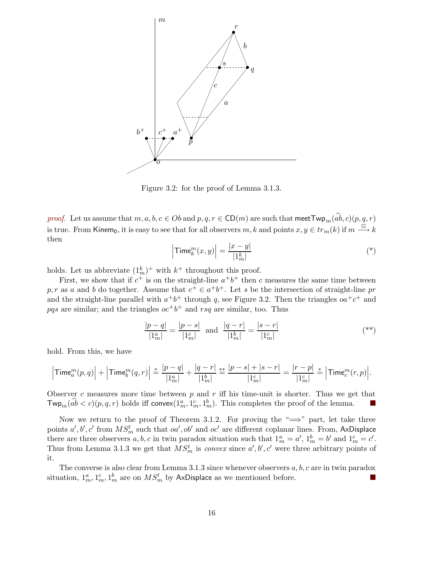

Figure 3.2: for the proof of Lemma 3.1.3.

*proof.* Let us assume that  $m, a, b, c \in Ob$  and  $p, q, r \in CD(m)$  are such that meet  $Tw p_m(\widehat{ab}, c)(p, q, r)$ is true. From Kinem<sub>0</sub>, it is easy to see that for all observers  $m, k$  and points  $x, y \in tr_m(k)$  if  $m \stackrel{\boxdot}{\longrightarrow} k$ then

$$
\left|\text{Time}_k^m(x,y)\right| = \frac{|x-y|}{|1_m^k|}\tag{*}
$$

holds. Let us abbreviate  $(1_m^k)^+$  with  $k^+$  throughout this proof.

First, we show that if  $c^+$  is on the straight-line  $a^+b^+$  then c measures the same time between  $p, r$  as a and b do together. Assume that  $c^+ \in a^+b^+$ . Let s be the intersection of straight-line pr and the straight-line parallel with  $a^+b^+$  through q, see Figure 3.2. Then the triangles  $oa^+c^+$  and pqs are similar; and the triangles  $oc^+b^+$  and rsq are similar, too. Thus

$$
\frac{|p-q|}{|1_m^n|} = \frac{|p-s|}{|1_m^n|} \quad \text{and} \quad \frac{|q-r|}{|1_m^b|} = \frac{|s-r|}{|1_m^c|} \tag{**}
$$

hold. From this, we have

$$
\Big|\text{Time}_a^m(p,q)\Big| + \Big|\text{Time}_b^m(q,r)\Big| \stackrel{*}{=} \frac{|p-q|}{|1_m^a|} + \frac{|q-r|}{|1_m^b|} \stackrel{*}{=} \frac{|p-s|+|s-r|}{|1_m^c|} = \frac{|r-p|}{|1_m^c|} \stackrel{*}{=} \Big|\text{Time}_c^m(r,p)\Big|.
$$

Observer c measures more time between  $p$  and  $r$  iff his time-unit is shorter. Thus we get that  $\textsf{Twp}_m(\hat{ab} < c)(p, q, r)$  holds iff convex $(1_m^a, 1_m^c, 1_m^b)$ . This completes the proof of the lemma.

Now we return to the proof of Theorem 3.1.2. For proving the " $\implies$ " part, let take three points  $a', b', c'$  from  $MS_m^t$  such that  $oa', ob'$  and  $oc'$  are different coplanar lines. From, AxDisplace there are three observers a, b, c in twin paradox situation such that  $1_m^a = a'$ ,  $1_m^b = b'$  and  $1_m^c = c'$ . Thus from Lemma 3.1.3 we get that  $MS_m^t$  is *convex* since  $a', b', c'$  were three arbitrary points of it.

The converse is also clear from Lemma 3.1.3 since whenever observers  $a, b, c$  are in twin paradox situation,  $1_m^a$ ,  $1_m^c$ ,  $1_m^b$  are on  $MS_m^t$  by AxDisplace as we mentioned before.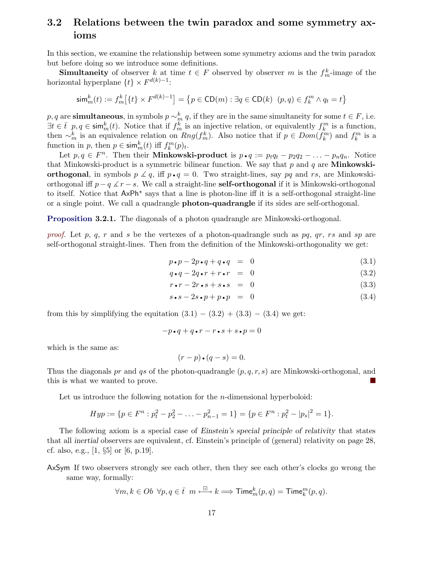## 3.2 Relations between the twin paradox and some symmetry axioms

In this section, we examine the relationship between some symmetry axioms and the twin paradox but before doing so we introduce some definitions.

**Simultaneity** of observer k at time  $t \in F$  observed by observer m is the  $f_m^k$ -image of the horizontal hyperplane  $\{t\} \times F^{d(k)-1}$ :

$$
\operatorname{sim}^k_m(t) := f_m^k \big[ \{ t \} \times F^{d(k)-1} \big] = \big\{ p \in \mathsf{CD}(m) : \exists q \in \mathsf{CD}(k) \ \ (p,q) \in f_k^m \wedge q_t = t \big\}
$$

p, q are **simultaneous**, in symbols  $p \sim_m^k q$ , if they are in the same simultaneity for some  $t \in F$ , i.e.  $\exists t \in \overline{t}$ ,  $p, q \in \text{sim}_m^k(t)$ . Notice that if  $f_m^k$  is an injective relation, or equivalently  $f_k^m$  is a function, then  $\sim_m^k$  is an equivalence relation on  $Rng(f_m^k)$ . Also notice that if  $p \in Dom(f_k^m)$  and  $f_k^m$  is a function in p, then  $p \in \textsf{sim}^k_m(t)$  iff  $f_k^m(p)_t$ .

Let  $p, q \in F^n$ . Then their **Minkowski-product** is  $p \cdot q := p_t q_t - p_2 q_2 - \ldots - p_n q_n$ . Notice that Minkowski-product is a symmetric bilinear function. We say that  $p$  and  $q$  are **Minkowski**orthogonal, in symbols  $p \measuredangle q$ , iff  $p \cdot q = 0$ . Two straight-lines, say pq and rs, are Minkowskiorthogonal iff  $p - q \measuredangle r - s$ . We call a straight-line **self-orthogonal** if it is Minkowski-orthogonal to itself. Notice that  $AxPh^*$  says that a line is photon-line iff it is a self-orthogonal straight-line or a single point. We call a quadrangle photon-quadrangle if its sides are self-orthogonal.

Proposition 3.2.1. The diagonals of a photon quadrangle are Minkowski-orthogonal.

proof. Let p, q, r and s be the vertexes of a photon-quadrangle such as pq, qr, rs and sp are self-orthogonal straight-lines. Then from the definition of the Minkowski-orthogonality we get:

$$
p \bullet p - 2p \bullet q + q \bullet q = 0 \tag{3.1}
$$

$$
q \cdot q - 2q \cdot r + r \cdot r = 0 \tag{3.2}
$$

$$
r \bullet r - 2r \bullet s + s \bullet s = 0 \tag{3.3}
$$

$$
s \bullet s - 2s \bullet p + p \bullet p = 0 \tag{3.4}
$$

from this by simplifying the equitation  $(3.1) - (3.2) + (3.3) - (3.4)$  we get:

$$
-p \bullet q + q \bullet r - r \bullet s + s \bullet p = 0
$$

which is the same as:

$$
(r-p)\bullet(q-s)=0.
$$

Thus the diagonals pr and qs of the photon-quadrangle  $(p, q, r, s)$  are Minkowski-orthogonal, and this is what we wanted to prove.

Let us introduce the following notation for the  $n$ -dimensional hyperboloid:

*Hyp* := {
$$
p \in F^n : p_t^2 - p_2^2 - \ldots - p_{n-1}^2 = 1
$$
} = { $p \in F^n : p_t^2 - |p_s|^2 = 1$  }.

The following axiom is a special case of Einstein's special principle of relativity that states that all inertial observers are equivalent, cf. Einstein's principle of (general) relativity on page 28, cf. also, e.g.,  $[1, \S_5]$  or  $[6, p.19]$ .

AxSym If two observers strongly see each other, then they see each other's clocks go wrong the same way, formally:

$$
\forall m,k \in Ob \ \ \forall p,q \in \bar{t} \ \ m \stackrel{\boxdot}{\longleftrightarrow} k \Longrightarrow \mathsf{Time}^k_m(p,q) = \mathsf{Time}^m_k(p,q).
$$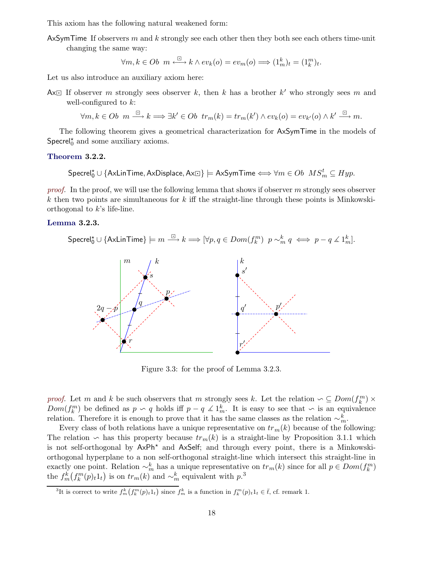This axiom has the following natural weakened form:

AxSymTime If observers  $m$  and  $k$  strongly see each other then they both see each others time-unit changing the same way:

$$
\forall m, k \in Ob \ \ m \stackrel{\boxdot}{\longleftrightarrow} k \wedge ev_k(o) = ev_m(o) \Longrightarrow (1_m^k)_t = (1_k^m)_t.
$$

Let us also introduce an auxiliary axiom here:

Ax $\Box$  If observer m strongly sees observer k, then k has a brother k' who strongly sees m and well-configured to  $k$ :

$$
\forall m, k \in Ob \ \ m \stackrel{\boxdot}{\longrightarrow} k \Longrightarrow \exists k' \in Ob \ \ tr_m(k) = tr_m(k') \land ev_k(o) = ev_{k'}(o) \land k' \stackrel{\boxdot}{\longrightarrow} m.
$$

The following theorem gives a geometrical characterization for AxSymTime in the models of Specrel<sup>\*</sup> and some auxiliary axioms.

#### Theorem 3.2.2.

 $\mathsf{Specrel}_0^\star \cup \{\mathsf{AxLinTime}, \mathsf{AxDisplace}, \mathsf{Ax} \boxdot\} \models \mathsf{AxSymTime} \Longleftrightarrow \forall m \in Ob \ \ MS_m^t \subseteq Hyp.$ 

*proof.* In the proof, we will use the following lemma that shows if observer m strongly sees observer k then two points are simultaneous for k iff the straight-line through these points is Minkowskiorthogonal to k's life-line.

#### Lemma 3.2.3.

 $\text{PString replacing} \{\text{cap}_0 \cup \{\text{AxLinTime}\} \models m \stackrel{\boxdot}{\longrightarrow} k \Longrightarrow [\forall p, q \in Dom(f_k^m) \ \ p \sim_m^k q \iff p - q \not\leq 1_m^k\}.$ 



Figure 3.3: for the proof of Lemma 3.2.3.

proof. Let m and k be such observers that m strongly sees k. Let the relation  $\sim \subseteq Dom(f_k^m) \times$  $Dom(f_k^m)$  be defined as  $p \backsim q$  holds iff  $p - q \nleq 1_m^k$ . It is easy to see that  $\backsim$  is an equivalence relation. Therefore it is enough to prove that it has the same classes as the relation  $\sim_m^k$ .

Every class of both relations have a unique representative on  $tr_m(k)$  because of the following: The relation  $\sim$  has this property because  $tr_m(k)$  is a straight-line by Proposition 3.1.1 which is not self-orthogonal by  $AxPh^*$  and  $AxSelf$ ; and through every point, there is a Minkowskiorthogonal hyperplane to a non self-orthogonal straight-line which intersect this straight-line in exactly one point. Relation  $\sim_m^k$  has a unique representative on  $tr_m(k)$  since for all  $p \in Dom(f_k^m)$ the  $f_m^k(f_k^m(p)_t 1_t)$  is on  $tr_m(k)$  and  $\sim_m^k$  equivalent with  $p^3$ .

<sup>&</sup>lt;sup>3</sup>It is correct to write  $f_m^k(f_k^m(p)_t1_t)$  since  $f_m^k$  is a function in  $f_k^m(p)_t1_t \in \overline{t}$ , cf. remark 1.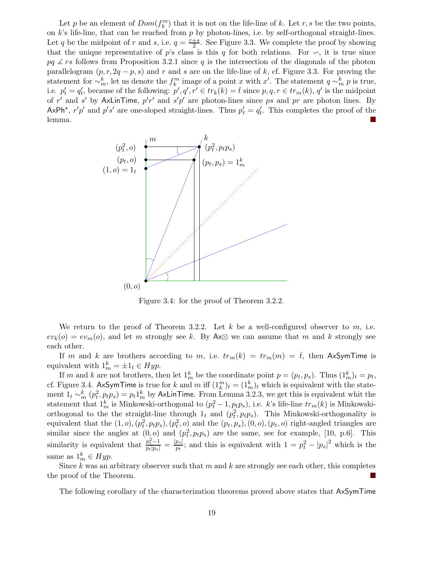Let p be an element of  $Dom(f_k^m)$  that it is not on the life-line of k. Let r, s be the two points, on  $k$ 's life-line, that can be reached from  $p$  by photon-lines, i.e. by self-orthogonal straight-lines. Let q be the midpoint of r and s, i.e.  $q = \frac{r+s}{2}$  $\frac{+s}{2}$ . See Figure 3.3. We complete the proof by showing that the unique representative of p's class is this q for both relations. For  $\sim$ , it is true since  $pq \measuredangle$  rs follows from Proposition 3.2.1 since q is the intersection of the diagonals of the photon parallelogram  $(p, r, 2q - p, s)$  and r and s are on the life-line of k, cf. Figure 3.3. For proving the statement for  $\sim_m^k$ , let us denote the  $f_k^m$  image of a point x with x'. The statement  $q \sim_m^k p$  is true, i.e.  $p'_t = q'_t$ , because of the following:  $p', q', r' \in tr_k(k) = \overline{t}$  since  $p, q, r \in tr_m(k)$ ,  $q'$  is the midpoint of r' and s' by AxLinTime,  $p'r'$  and  $s'p'$  are photon-lines since ps and pr are photon lines. By  $AxPh^{\star}, r'p'$  and  $p's'$  are one-sloped straight-lines. Thus  $p'_t = q'_t$ . This completes the proof of the lemma.



Figure 3.4: for the proof of Theorem 3.2.2.

We return to the proof of Theorem 3.2.2. Let k be a well-configured observer to  $m$ , i.e.  $ev_k(o) = ev_m(o)$ , and let m strongly see k. By  $Ax \square$  we can assume that m and k strongly see each other.

If m and k are brothers according to m, i.e.  $tr_m(k) = tr_m(m) = \overline{t}$ , then AxSymTime is equivalent with  $1_m^k = \pm 1_t \in Hyp$ .

If m and k are not brothers, then let  $1_m^k$  be the coordinate point  $p = (p_t, p_s)$ . Thus  $(1_m^k)_t = p_t$ , cf. Figure 3.4. AxSymTime is true for k and m iff  $(1_k^m)_t = (1_m^k)_t$  which is equivalent with the statement  $1_t \sim_m^k (p_t^2, p_t p_s) = p_t 1_m^k$  by AxLinTime. From Lemma 3.2.3, we get this is equivalent whit the statement that  $1_m^k$  is Minkowski-orthogonal to  $(p_t^2-1, p_tp_s)$ , i.e. k's life-line  $tr_m(k)$  is Minkowskiorthogonal to the the straight-line through  $1_t$  and  $(p_t^2, p_t p_s)$ . This Minkowski-orthogonality is equivalent that the  $(1, o), (p_t^2, p_t p_s), (p_t^2, o)$  and the  $(p_t, p_s), (0, o), (p_t, o)$  right-angled triangles are similar since the angles at  $(0, o)$  and  $(p_t^2, p_t p_s)$  are the same, see for example, [10, p.6]. This similarity is equivalent that  $\frac{p_t^2-1}{p_t|p_s|} = \frac{|p_s|}{p_t}$  $\frac{p_s}{p_t}$ ; and this is equivalent with  $1 = p_t^2 - |p_s|^2$  which is the same as  $1_m^k \in Hyp$ .

Since k was an arbitrary observer such that m and k are strongly see each other, this completes the proof of the Theorem.

The following corollary of the characterization theorems proved above states that AxSymTime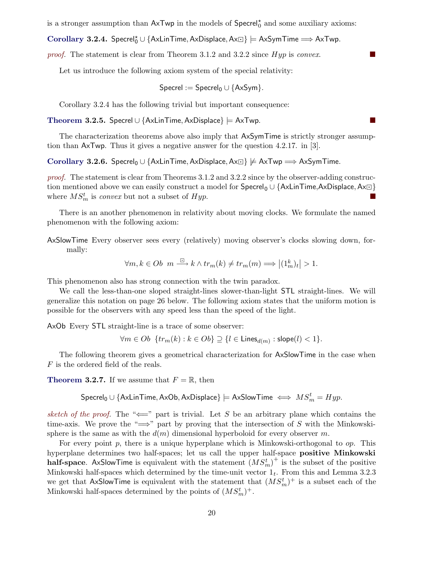is a stronger assumption than  $AxTwp$  in the models of  $Specrel_0^{\star}$  and some auxiliary axioms:

 $\textbf{Corollary 3.2.4.}$   $\textsf{Specrel}_0^{\star}\cup\{\textsf{AxLinTime},\textsf{AxDisplace},\textsf{Ax}\textcolor{red}{\boxdot}\}\models \textsf{AxSymTime}\Longrightarrow \textsf{AxTwo}.$ 

proof. The statement is clear from Theorem 3.1.2 and 3.2.2 since Hyp is convex.

Let us introduce the following axiom system of the special relativity:

$$
Spectral := Spectral_0 \cup \{AxSym\}.
$$

Corollary 3.2.4 has the following trivial but important consequence:

Theorem 3.2.5. Specrel  $\cup$  {AxLinTime, AxDisplace}  $\models$  AxTwp.

The characterization theorems above also imply that AxSymTime is strictly stronger assumption than AxTwp. Thus it gives a negative answer for the question 4.2.17. in [3].

Corollary 3.2.6. Specrel<sub>0</sub> ∪ {AxLinTime, AxDisplace, Ax $\Box$ }  $\not\models$  AxTwp  $\Longrightarrow$  AxSymTime.

proof. The statement is clear from Theorems 3.1.2 and 3.2.2 since by the observer-adding construction mentioned above we can easily construct a model for Specrel<sub>0</sub> ∪  $\{AxLinTime, AxDisplace, Ax\square\}$ <br>where MS<sup>t</sup> is conver but not a subset of Hyp where  $MS_m^t$  is convex but not a subset of  $Hyp$ .

There is an another phenomenon in relativity about moving clocks. We formulate the named phenomenon with the following axiom:

AxSlowTime Every observer sees every (relatively) moving observer's clocks slowing down, formally:

$$
\forall m, k \in Ob \ m \xrightarrow{\Box} k \wedge tr_m(k) \neq tr_m(m) \Longrightarrow |(1_m^k)_t| > 1.
$$

This phenomenon also has strong connection with the twin paradox.

We call the less-than-one sloped straight-lines slower-than-light STL straight-lines. We will generalize this notation on page 26 below. The following axiom states that the uniform motion is possible for the observers with any speed less than the speed of the light.

AxOb Every STL straight-line is a trace of some observer:

$$
\forall m \in Ob \ \{tr_m(k) : k \in Ob\} \supseteq \{l \in \mathsf{Lines}_{d(m)} : \mathsf{slope}(l) < 1\}.
$$

The following theorem gives a geometrical characterization for AxSlowTime in the case when F is the ordered field of the reals.

**Theorem 3.2.7.** If we assume that  $F = \mathbb{R}$ , then

$$
\mathsf{Specrel}_0 \cup \{\mathsf{AxLinTime}, \mathsf{AxOb}, \mathsf{AxDisplace}\} \models \mathsf{AxSlowTime} \iff MS^t_m = Hyp.
$$

sketch of the proof. The " $\Longleftarrow$ " part is trivial. Let S be an arbitrary plane which contains the time-axis. We prove the " $\Longrightarrow$ " part by proving that the intersection of S with the Minkowskisphere is the same as with the  $d(m)$  dimensional hyperboloid for every observer m.

For every point  $p$ , there is a unique hyperplane which is Minkowski-orthogonal to  $op$ . This hyperplane determines two half-spaces; let us call the upper half-space **positive Minkowski** half-space. AxSlowTime is equivalent with the statement  $(MS_m^t)^+$  is the subset of the positive Minkowski half-spaces which determined by the time-unit vector  $1<sub>t</sub>$ . From this and Lemma 3.2.3 we get that AxSlowTime is equivalent with the statement that  $(MS_m^t)^+$  is a subset each of the Minkowski half-spaces determined by the points of  $(MS_m^t)^+$ .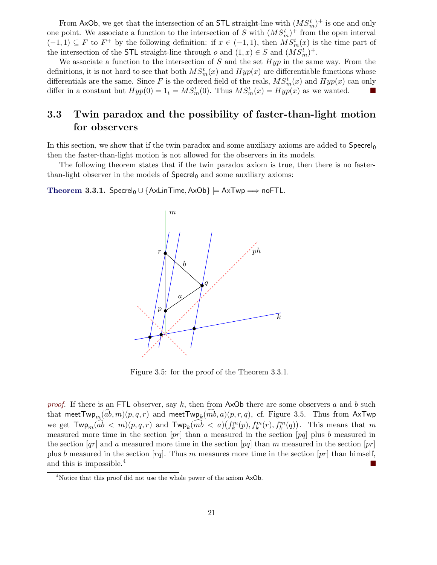From AxOb, we get that the intersection of an STL straight-line with  $(MS_m^t)^+$  is one and only one point. We associate a function to the intersection of S with  $(MS_m^t)^+$  from the open interval  $(-1,1) \subseteq F$  to  $F^+$  by the following definition: if  $x \in (-1,1)$ , then  $MS_m^t(x)$  is the time part of the intersection of the STL straight-line through  $o$  and  $(1, x) \in S$  and  $(MS_m^t)^+$ .

We associate a function to the intersection of  $S$  and the set  $Hyp$  in the same way. From the definitions, it is not hard to see that both  $MS_m^t(x)$  and  $Hyp(x)$  are differentiable functions whose differentials are the same. Since F is the ordered field of the reals,  $MS_m^t(x)$  and  $Hyp(x)$  can only differ in a constant but  $Hyp(0) = 1_t = MS_m^t(0)$ . Thus  $MS_m^t(x) = Hyp(x)$  as we wanted.

## 3.3 Twin paradox and the possibility of faster-than-light motion for observers

In this section, we show that if the twin paradox and some auxiliary axioms are added to  $\text{Spectral}_0$ then the faster-than-light motion is not allowed for the observers in its models.

The following theorem states that if the twin paradox axiom is true, then there is no fasterthan-light observer in the models of  $\text{Specrel}_0$  and some auxiliary axioms:

Theorem 3.3.1. Specrel<sub>0</sub>  $\cup$  {AxLinTime, AxOb}  $\models$  AxTwp  $\Longrightarrow$  noFTL.



Figure 3.5: for the proof of the Theorem 3.3.1.

proof. If there is an FTL observer, say k, then from  $AxOb$  there are some observers a and b such that  ${\sf meetTwp}_{m}(ab,m)(p,q,r)$  and  ${\sf meetTwp}_{k}(mb,a)(p,r,q),$  cf. Figure 3.5. Thus from  ${\sf AxTwp}$ we get  $\textsf{Twp}_m(\hat{ab} < m)(p, q, r)$  and  $\textsf{Twp}_k(\widehat{mb} < a)(f_k^m(p), f_k^m(r), f_k^m(q))$ . This means that m measured more time in the section  $[pr]$  than a measured in the section  $[pq]$  plus b measured in the section  $qr$  and a measured more time in the section  $[pq]$  than m measured in the section  $[pr]$ plus b measured in the section  $[rq]$ . Thus m measures more time in the section  $[pr]$  than himself, and this is impossible.<sup>4</sup>

<sup>&</sup>lt;sup>4</sup>Notice that this proof did not use the whole power of the axiom AxOb.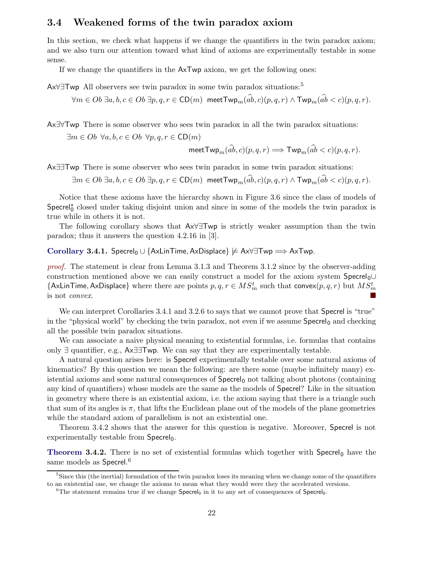### 3.4 Weakened forms of the twin paradox axiom

In this section, we check what happens if we change the quantifiers in the twin paradox axiom; and we also turn our attention toward what kind of axioms are experimentally testable in some sense.

If we change the quantifiers in the AxTwp axiom, we get the following ones:

Ax∀∃Twp All observers see twin paradox in some twin paradox situations:<sup>5</sup>

$$
\forall m \in Ob \ \exists a, b, c \in Ob \ \exists p, q, r \in \mathsf{CD}(m) \ \ \mathsf{meetTwp}_m(ab, c)(p, q, r) \land \mathsf{Twp}_m(ab < c)(p, q, r).
$$

Ax∃∀Twp There is some observer who sees twin paradox in all the twin paradox situations:

 $\exists m \in Ob \; \forall a, b, c \in Ob \; \forall p, q, r \in CD(m)$ 

$$
\text{meetTwp}_m(\widehat{ab}, c)(p, q, r) \Longrightarrow \text{Twp}_m(\widehat{ab} < c)(p, q, r).
$$

Ax∃∃Twp There is some observer who sees twin paradox in some twin paradox situations:

 $\exists m\in Ob\ \exists a,b,c\in Ob\ \exists p,q,r\in\mathsf{CD}(m)\ \ \mathsf{meetTwo}_m(\widehat{ab},c)(p,q,r)\land\mathsf{Two}_m(\widehat{ab}< c)(p,q,r).$ 

Notice that these axioms have the hierarchy shown in Figure 3.6 since the class of models of Specrel<sup>\*</sup> closed under taking disjoint union and since in some of the models the twin paradox is true while in others it is not.

The following corollary shows that Ax∀∃Twp is strictly weaker assumption than the twin paradox; thus it answers the question 4.2.16 in [3].

#### Corollary 3.4.1. Specrel<sub>0</sub> ∪ {AxLinTime, AxDisplace}  $\not\models$  Ax $\forall$ ∃Twp  $\implies$  AxTwp.

proof. The statement is clear from Lemma 3.1.3 and Theorem 3.1.2 since by the observer-adding construction mentioned above we can easily construct a model for the axiom system Specrel<sub>0</sub>∪  $\{\textsf{AxLinTime}, \textsf{AxDisplace}\}$  where there are points  $p, q, r \in MS_m^t$  such that  $\textsf{convex}(p, q, r)$  but  $MS_m^t$ is not convex.

We can interpret Corollaries 3.4.1 and 3.2.6 to says that we cannot prove that Specrel is "true" in the "physical world" by checking the twin paradox, not even if we assume  $\text{Spectral}_0$  and checking all the possible twin paradox situations.

We can associate a naive physical meaning to existential formulas, i.e. formulas that contains only ∃ quantifier, e.g., Ax∃∃Twp. We can say that they are experimentally testable.

A natural question arises here: is Specrel experimentally testable over some natural axioms of kinematics? By this question we mean the following: are there some (maybe infinitely many) existential axioms and some natural consequences of Specrel<sub>0</sub> not talking about photons (containing any kind of quantifiers) whose models are the same as the models of Specrel? Like in the situation in geometry where there is an existential axiom, i.e. the axiom saying that there is a triangle such that sum of its angles is  $\pi$ , that lifts the Euclidean plane out of the models of the plane geometries while the standard axiom of parallelism is not an existential one.

Theorem 3.4.2 shows that the answer for this question is negative. Moreover, Specrel is not experimentally testable from Specrel<sub>0</sub>.

**Theorem 3.4.2.** There is no set of existential formulas which together with  $\text{Specrel}_0$  have the same models as  $\sf{Spec}$ rel. $^6$ 

 $<sup>5</sup>$ Since this (the inertial) formulation of the twin paradox loses its meaning when we change some of the quantifiers</sup> to an existential one, we change the axioms to mean what they would were they the accelerated versions.

 ${}^{6}$ The statement remains true if we change Specrel<sub>0</sub> in it to any set of consequences of Specrel<sub>0</sub>.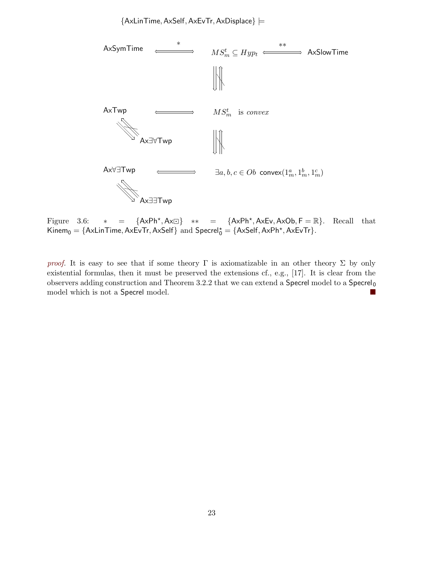${AxLinTime, AxSelf, AxEvTr, AxDisplace} \models$ 



Figure 3.6: \* =  ${AxPh^{\star}, Ax\square}$  \* =  ${AxPh^{\star}, AxEv, AxOb, F = \mathbb{R}}$ . Recall that  $\text{Kinem}_0 = \{\text{AxLinTime}, \text{AxEvTr}, \text{AxSelf}\} \text{ and } \text{Spc}$ rel $_0^{\star} = \{\text{AxSelf}, \text{AxPh}^{\star}, \text{AxEvTr}\}.$ 

proof. It is easy to see that if some theory  $\Gamma$  is axiomatizable in an other theory  $\Sigma$  by only existential formulas, then it must be preserved the extensions cf., e.g., [17]. It is clear from the observers adding construction and Theorem 3.2.2 that we can extend a Specrel model to a Specrel<sub>0</sub> model which is not a Specrel model.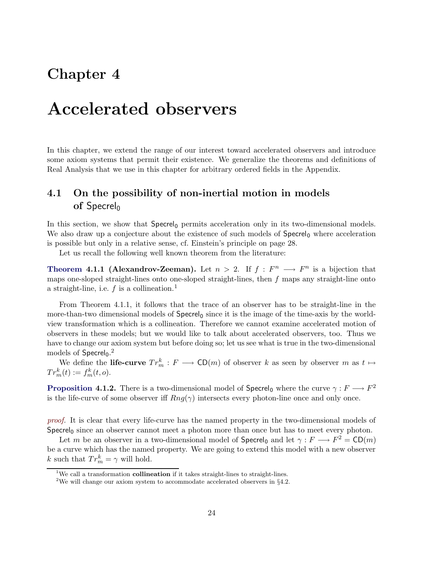## Chapter 4

## Accelerated observers

In this chapter, we extend the range of our interest toward accelerated observers and introduce some axiom systems that permit their existence. We generalize the theorems and definitions of Real Analysis that we use in this chapter for arbitrary ordered fields in the Appendix.

## 4.1 On the possibility of non-inertial motion in models of Specrel<sub>0</sub>

In this section, we show that  $Specel<sub>0</sub>$  permits acceleration only in its two-dimensional models. We also draw up a conjecture about the existence of such models of  $Specel<sub>0</sub>$  where acceleration is possible but only in a relative sense, cf. Einstein's principle on page 28.

Let us recall the following well known theorem from the literature:

**Theorem 4.1.1 (Alexandrov-Zeeman).** Let  $n > 2$ . If  $f : F^n \longrightarrow F^n$  is a bijection that maps one-sloped straight-lines onto one-sloped straight-lines, then  $f$  maps any straight-line onto a straight-line, i.e.  $f$  is a collineation.<sup>1</sup>

From Theorem 4.1.1, it follows that the trace of an observer has to be straight-line in the more-than-two dimensional models of  $\text{Sperel}_0$  since it is the image of the time-axis by the worldview transformation which is a collineation. Therefore we cannot examine accelerated motion of observers in these models; but we would like to talk about accelerated observers, too. Thus we have to change our axiom system but before doing so; let us see what is true in the two-dimensional models of  $\mathsf{Spec}$ rel $_0.^2$ 

We define the **life-curve**  $Tr_m^k : F \longrightarrow \mathsf{CD}(m)$  of observer k as seen by observer m as  $t \mapsto$  $Tr_{m}^{k}(t) := f_{m}^{k}(t, o).$ 

**Proposition 4.1.2.** There is a two-dimensional model of  $\mathsf{Specrel}_0$  where the curve  $\gamma : F \longrightarrow F^2$ is the life-curve of some observer iff  $Rng(\gamma)$  intersects every photon-line once and only once.

proof. It is clear that every life-curve has the named property in the two-dimensional models of  $Specrel<sub>0</sub> since an observer cannot meet a photon more than once but has to meet every photon.$ 

Let m be an observer in a two-dimensional model of  $\text{Specrel}_0$  and let  $\gamma : F \longrightarrow F^2 = \text{CD}(m)$ be a curve which has the named property. We are going to extend this model with a new observer k such that  $Tr_m^k = \gamma$  will hold.

<sup>&</sup>lt;sup>1</sup>We call a transformation **collineation** if it takes straight-lines to straight-lines.

<sup>&</sup>lt;sup>2</sup>We will change our axiom system to accommodate accelerated observers in  $\S 4.2$ .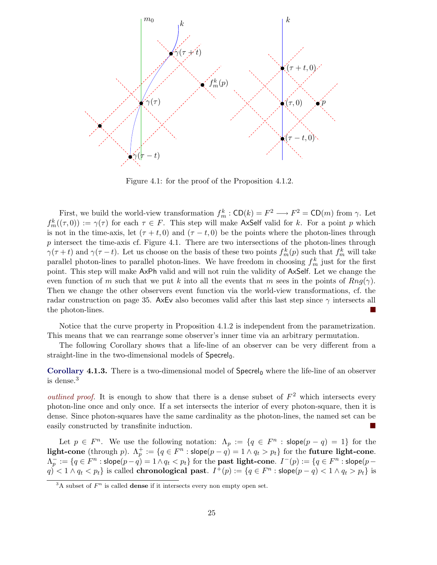

Figure 4.1: for the proof of the Proposition 4.1.2.

First, we build the world-view transformation  $f_m^k$ :  $CD(k) = F^2 \longrightarrow F^2 = CD(m)$  from  $\gamma$ . Let  $f_m^k((\tau,0)) := \gamma(\tau)$  for each  $\tau \in F$ . This step will make AxSelf valid for k. For a point p which is not in the time-axis, let  $(\tau + t, 0)$  and  $(\tau - t, 0)$  be the points where the photon-lines through  $p$  intersect the time-axis cf. Figure 4.1. There are two intersections of the photon-lines through  $\gamma(\tau+t)$  and  $\gamma(\tau-t)$ . Let us choose on the basis of these two points  $f_m^k(p)$  such that  $f_m^k$  will take parallel photon-lines to parallel photon-lines. We have freedom in choosing  $f_m^k$  just for the first point. This step will make AxPh valid and will not ruin the validity of AxSelf. Let we change the even function of m such that we put k into all the events that m sees in the points of  $Rng(\gamma)$ . Then we change the other observers event function via the world-view transformations, cf. the radar construction on page 35. AxEv also becomes valid after this last step since  $\gamma$  intersects all the photon-lines.

Notice that the curve property in Proposition 4.1.2 is independent from the parametrization. This means that we can rearrange some observer's inner time via an arbitrary permutation.

The following Corollary shows that a life-line of an observer can be very different from a straight-line in the two-dimensional models of  $Specrel<sub>0</sub>$ .

Corollary 4.1.3. There is a two-dimensional model of  $\text{Speech}_0$  where the life-line of an observer is dense.<sup>3</sup>

*outlined proof.* It is enough to show that there is a dense subset of  $F^2$  which intersects every photon-line once and only once. If a set intersects the interior of every photon-square, then it is dense. Since photon-squares have the same cardinality as the photon-lines, the named set can be easily constructed by transfinite induction.

Let  $p \in F^n$ . We use the following notation:  $\Lambda_p := \{q \in F^n : \mathsf{slope}(p-q) = 1\}$  for the light-cone (through  $p$ ).  $\Lambda_p^+ := \{q \in F^n : \text{slope}(p - q) = 1 \land q_t > p_t\}$  for the future light-cone.  $\Lambda_p^-:=\{q\in F^n: {\sf slope}(p-q)=1 \wedge q_t < p_t\}$  for the  ${\bf past\ light-cone.\ } I^-(p):=\{q\in F^n: {\sf slope}(p-q)\}$  $q$ )  $q$   $<$  1  $\wedge$   $q$ <sub>t</sub>  $<$   $p$ <sub>t</sub>} is called **chronological past**.  $I^+(p) := \{q \in F^n : \mathsf{slope}(p - q) < 1 \wedge q$ <sub>t</sub> $> p$ <sub>t</sub> $\}$  is

<sup>&</sup>lt;sup>3</sup>A subset of  $F^n$  is called **dense** if it intersects every non empty open set.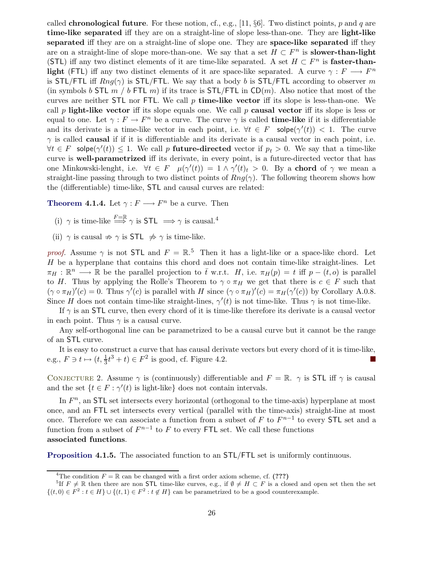called **chronological future**. For these notion, cf., e.g., [11, §6]. Two distinct points, p and q are time-like separated iff they are on a straight-line of slope less-than-one. They are light-like separated iff they are on a straight-line of slope one. They are space-like separated iff they are on a straight-line of slope more-than-one. We say that a set  $H \subset F^n$  is **slower-than-light** (STL) iff any two distinct elements of it are time-like separated. A set  $H \subset F^n$  is **faster-than**light (FTL) iff any two distinct elements of it are space-like separated. A curve  $\gamma : F \longrightarrow F^n$ is STL/FTL iff  $Rng(\gamma)$  is STL/FTL. We say that a body b is STL/FTL according to observer m (in symbols b STL m / b FTL m) if its trace is STL/FTL in  $CD(m)$ . Also notice that most of the curves are neither STL nor FTL. We call  $p$  time-like vector iff its slope is less-than-one. We call p light-like vector iff its slope equals one. We call p causal vector iff its slope is less or equal to one. Let  $\gamma: F \to F^n$  be a curve. The curve  $\gamma$  is called **time-like** if it is differentiable and its derivate is a time-like vector in each point, i.e.  $\forall t \in F$  solpe $(\gamma'(t)) < 1$ . The curve  $\gamma$  is called **causal** if if it is differentiable and its derivate is a causal vector in each point, i.e.  $\forall t \in F$  solpe $(\gamma'(t)) \leq 1$ . We call p **future-directed** vector if  $p_t > 0$ . We say that a time-like curve is well-parametrized iff its derivate, in every point, is a future-directed vector that has one Minkowski-lenght, i.e.  $\forall t \in F \quad \mu(\gamma'(t)) = 1 \land \gamma'(t)_t > 0$ . By a chord of  $\gamma$  we mean a straight-line passing through to two distinct points of  $Rng(\gamma)$ . The following theorem shows how the (differentiable) time-like, STL and causal curves are related:

**Theorem 4.1.4.** Let  $\gamma : F \longrightarrow F^n$  be a curve. Then

- (i)  $\gamma$  is time-like  $\xrightarrow{F=\mathbb{R}} \gamma$  is  $STL \implies \gamma$  is causal.<sup>4</sup>
- (ii)  $\gamma$  is causal  $\Rightarrow \gamma$  is STL  $\Rightarrow \gamma$  is time-like.

proof. Assume  $\gamma$  is not STL and  $F = \mathbb{R}^5$ . Then it has a light-like or a space-like chord. Let H be a hyperplane that contains this chord and does not contain time-like straight-lines. Let  $\pi_H : \mathbb{R}^n \longrightarrow \mathbb{R}$  be the parallel projection to  $\overline{t}$  w.r.t. H, i.e.  $\pi_H(p) = t$  iff  $p - (t, o)$  is parallel to H. Thus by applying the Rolle's Theorem to  $\gamma \circ \pi_H$  we get that there is  $c \in F$  such that  $(\gamma \circ \pi_H)'(c) = 0$ . Thus  $\gamma'(c)$  is parallel with H since  $(\gamma \circ \pi_H)'(c) = \pi_H(\gamma'(c))$  by Corollary A.0.8. Since H does not contain time-like straight-lines,  $\gamma'(t)$  is not time-like. Thus  $\gamma$  is not time-like.

If  $\gamma$  is an STL curve, then every chord of it is time-like therefore its derivate is a causal vector in each point. Thus  $\gamma$  is a causal curve.

Any self-orthogonal line can be parametrized to be a causal curve but it cannot be the range of an STL curve.

It is easy to construct a curve that has causal derivate vectors but every chord of it is time-like, e.g.,  $F \ni t \mapsto (t, \frac{1}{3}t^3 + t) \in F^2$  is good, cf. Figure 4.2.

CONJECTURE 2. Assume  $\gamma$  is (continuously) differentiable and  $F = \mathbb{R}$ .  $\gamma$  is STL iff  $\gamma$  is causal and the set  $\{t \in F : \gamma'(t)$  is light-like} does not contain intervals.

In  $F<sup>n</sup>$ , an STL set intersects every horizontal (orthogonal to the time-axis) hyperplane at most once, and an FTL set intersects every vertical (parallel with the time-axis) straight-line at most once. Therefore we can associate a function from a subset of F to  $F^{n-1}$  to every STL set and a function from a subset of  $F^{n-1}$  to F to every FTL set. We call these functions associated functions.

Proposition 4.1.5. The associated function to an STL/FTL set is uniformly continuous.

<sup>&</sup>lt;sup>4</sup>The condition  $F = \mathbb{R}$  can be changed with a first order axiom scheme, cf. (???)

<sup>&</sup>lt;sup>5</sup>If  $F \neq \mathbb{R}$  then there are non STL time-like curves, e.g., if  $\emptyset \neq H \subset F$  is a closed and open set then the set  $\{(t,0) \in F^2 : t \in H\} \cup \{(t,1) \in F^2 : t \notin H\}$  can be parametrized to be a good counterexample.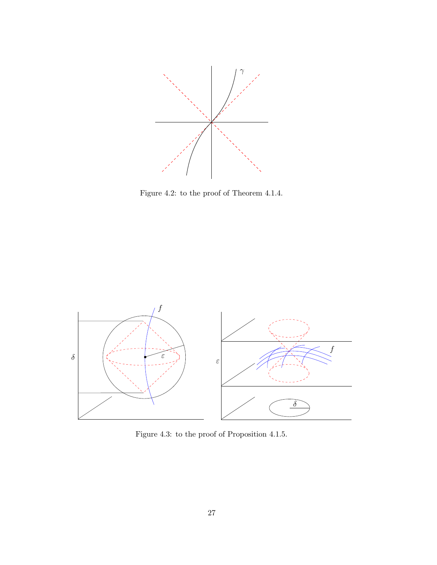

Figure 4.2: to the proof of Theorem 4.1.4.



Figure 4.3: to the proof of Proposition 4.1.5.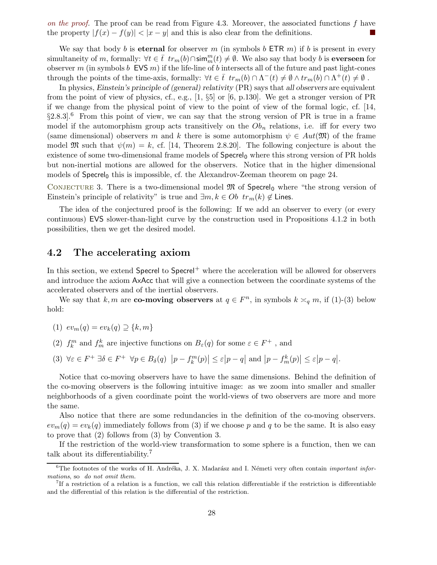on the proof. The proof can be read from Figure 4.3. Moreover, the associated functions  $f$  have the property  $|f(x) - f(y)| < |x - y|$  and this is also clear from the definitions.

We say that body b is **eternal** for observer m (in symbols b ETR m) if b is present in every simultaneity of m, formally:  $\forall t \in \overline{t}$  tr<sub>m</sub>(b)∩sim<sub>m</sub>(t)  $\neq \emptyset$ . We also say that body b is everseen for observer m (in symbols b EVS m) if the life-line of b intersects all of the future and past light-cones through the points of the time-axis, formally:  $\forall t \in \overline{t}$   $tr_m(b) \cap \Lambda^-(t) \neq \emptyset \wedge tr_m(b) \cap \Lambda^+(t) \neq \emptyset$ .

In physics, Einstein's principle of (general) relativity (PR) says that all observers are equivalent from the point of view of physics, cf., e.g., [1, §5] or [6, p.130]. We get a stronger version of PR if we change from the physical point of view to the point of view of the formal logic, cf. [14,  $§2.8.3$ <sup>6</sup> From this point of view, we can say that the strong version of PR is true in a frame model if the automorphism group acts transitively on the  $Ob_n$  relations, i.e. iff for every two (same dimensional) observers m and k there is some automorphism  $\psi \in Aut(\mathfrak{M})$  of the frame model  $\mathfrak{M}$  such that  $\psi(m) = k$ , cf. [14, Theorem 2.8.20]. The following conjecture is about the existence of some two-dimensional frame models of  $Specel<sub>0</sub>$  where this strong version of PR holds but non-inertial motions are allowed for the observers. Notice that in the higher dimensional models of  $Specel<sub>0</sub>$  this is impossible, cf. the Alexandrov-Zeeman theorem on page 24.

CONJECTURE 3. There is a two-dimensional model  $\mathfrak{M}$  of Specrel<sub>0</sub> where "the strong version of Einstein's principle of relativity" is true and  $\exists m, k \in Ob$   $tr_m(k) \notin$  Lines.

The idea of the conjectured proof is the following: If we add an observer to every (or every continuous) EVS slower-than-light curve by the construction used in Propositions 4.1.2 in both possibilities, then we get the desired model.

### 4.2 The accelerating axiom

In this section, we extend Specrel to Specrel<sup>+</sup> where the acceleration will be allowed for observers and introduce the axiom AxAcc that will give a connection between the coordinate systems of the accelerated observers and of the inertial observers.

We say that k, m are **co-moving observers** at  $q \in F<sup>n</sup>$ , in symbols  $k \approx_q m$ , if (1)-(3) below hold:

- (1)  $ev_m(q) = ev_k(q) \supseteq \{k, m\}$
- (2)  $f_k^m$  and  $f_m^k$  are injective functions on  $B_\varepsilon(q)$  for some  $\varepsilon \in F^+$ , and
- (3)  $\forall \varepsilon \in F^+ \exists \delta \in F^+ \ \forall p \in B_\delta(q) \ \left| p f_k^m(p) \right| \leq \varepsilon \left| p q \right|$  and  $\left| p f_m^k(p) \right| \leq \varepsilon \left| p q \right|$ .

Notice that co-moving observers have to have the same dimensions. Behind the definition of the co-moving observers is the following intuitive image: as we zoom into smaller and smaller neighborhoods of a given coordinate point the world-views of two observers are more and more the same.

Also notice that there are some redundancies in the definition of the co-moving observers.  $ev_m(q) = ev_k(q)$  immediately follows from (3) if we choose p and q to be the same. It is also easy to prove that (2) follows from (3) by Convention 3.

If the restriction of the world-view transformation to some sphere is a function, then we can talk about its differentiability.<sup>7</sup>

 ${}^{6}$ The footnotes of the works of H. Andréka, J. X. Madarász and I. Németi very often contain *important infor*mations, so do not omit them.

<sup>&</sup>lt;sup>7</sup>If a restriction of a relation is a function, we call this relation differentiable if the restriction is differentiable and the differential of this relation is the differential of the restriction.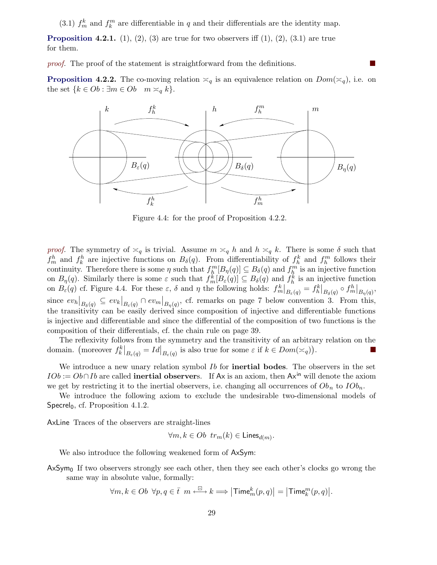(3.1)  $f_m^k$  and  $f_k^m$  are differentiable in q and their differentials are the identity map.

**Proposition 4.2.1.** (1), (2), (3) are true for two observers iff (1), (2), (3.1) are true for them.

proof. The proof of the statement is straightforward from the definitions.

**Proposition 4.2.2.** The co-moving relation  $\approx_q$  is an equivalence relation on  $Dom(\approx_q)$ , i.e. on the set  $\{k \in Ob : \exists m \in Ob \quad m \asymp_q k\}.$ 

PSfrag replacements



Figure 4.4: for the proof of Proposition 4.2.2.

proof. The symmetry of  $\leq_q$  is trivial. Assume  $m \leq_q h$  and  $h \leq_q k$ . There is some  $\delta$  such that  $f_m^h$  and  $f_k^h$  are injective functions on  $B_\delta(q)$ . From differentiability of  $f_h^k$  and  $f_h^m$  follows their continuity. Therefore there is some  $\eta$  such that  $f_{h}^{m}[B_{\eta}(q)] \subseteq B_{\delta}(q)$  and  $f_{h}^{m}$  is an injective function on  $B_{\eta}(q)$ . Similarly there is some  $\varepsilon$  such that  $f_m^k[B_{\varepsilon}(q)] \subseteq B_{\delta}(q)$  and  $f_h^k$  is an injective function on  $B_{\varepsilon}(q)$  cf. Figure 4.4. For these  $\varepsilon$ ,  $\delta$  and  $\eta$  the following holds:  $f_m^k\big|_{B_{\varepsilon}(q)}^{\eta} = f_h^k\big|_{B_{\delta}(q)} \circ f_m^h\big|_{B_{\eta}(q)}$ , since  $ev_h|_{B_\delta(q)} \subseteq ev_k|_{B_\epsilon(q)} \cap ev_m|_{B_\eta(q)}$ , cf. remarks on page 7 below convention 3. From this, the transitivity can be easily derived since composition of injective and differentiable functions is injective and differentiable and since the differential of the composition of two functions is the composition of their differentials, cf. the chain rule on page 39.

The reflexivity follows from the symmetry and the transitivity of an arbitrary relation on the domain. (moreover  $f_k^k|_{B_\varepsilon(q)} = Id|_{B_\varepsilon(q)}$  is also true for some  $\varepsilon$  if  $k \in Dom(\leq q)$ ) .

We introduce a new unary relation symbol  $Ib$  for **inertial bodes**. The observers in the set  $IOb := Ob \cap Ib$  are called **inertial observers**. If Ax is an axiom, then Ax<sup>in</sup> will denote the axiom we get by restricting it to the inertial observers, i.e. changing all occurrences of  $Ob_n$  to  $IOb_n$ .

We introduce the following axiom to exclude the undesirable two-dimensional models of Specrel $_0$ , cf. Proposition 4.1.2.

AxLine Traces of the observers are straight-lines

$$
\forall m, k \in Ob \ \ tr_m(k) \in \mathsf{Lines}_{d(m)}.
$$

We also introduce the following weakened form of  $AxSym$ :

 $\Delta x$ Sym<sub>0</sub> If two observers strongly see each other, then they see each other's clocks go wrong the same way in absolute value, formally:

$$
\forall m,k \in Ob \ \ \forall p,q \in \bar{t} \ \ m \stackrel{\boxdot}{\longleftrightarrow} k \Longrightarrow \big|\textsf{Time}^k_m(p,q)\big| = \big|\textsf{Time}^m_k(p,q)\big|.
$$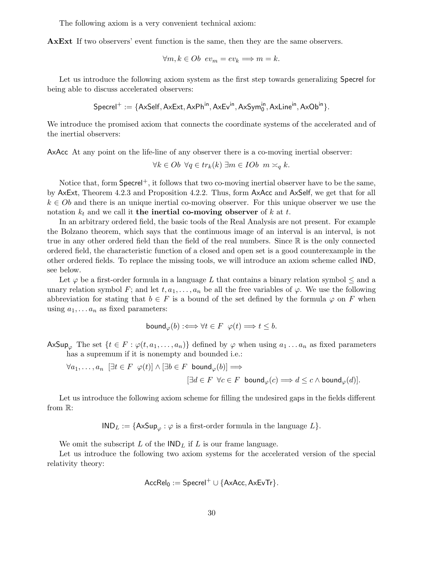The following axiom is a very convenient technical axiom:

AxExt If two observers' event function is the same, then they are the same observers.

$$
\forall m, k \in Ob \ ev_m = ev_k \Longrightarrow m = k.
$$

Let us introduce the following axiom system as the first step towards generalizing Specrel for being able to discuss accelerated observers:

$$
Specrel^+:=\{AxSelf, AxExt, AxPh^{in}, AxEv^{in}, AxSym_0^{in}, AxLine^{in}, AxOb^{in}\}.
$$

We introduce the promised axiom that connects the coordinate systems of the accelerated and of the inertial observers:

AxAcc At any point on the life-line of any observer there is a co-moving inertial observer:

 $\forall k \in Ob \ \forall q \in tr_k(k) \ \exists m \in IOb \ m \asymp_q k.$ 

Notice that, form Specrel<sup>+</sup>, it follows that two co-moving inertial observer have to be the same, by AxExt, Theorem 4.2.3 and Proposition 4.2.2. Thus, form AxAcc and AxSelf, we get that for all  $k \in Ob$  and there is an unique inertial co-moving observer. For this unique observer we use the notation  $k_t$  and we call it the inertial co-moving observer of k at t.

In an arbitrary ordered field, the basic tools of the Real Analysis are not present. For example the Bolzano theorem, which says that the continuous image of an interval is an interval, is not true in any other ordered field than the field of the real numbers. Since R is the only connected ordered field, the characteristic function of a closed and open set is a good counterexample in the other ordered fields. To replace the missing tools, we will introduce an axiom scheme called IND, see below.

Let  $\varphi$  be a first-order formula in a language L that contains a binary relation symbol  $\leq$  and a unary relation symbol F; and let  $t, a_1, \ldots, a_n$  be all the free variables of  $\varphi$ . We use the following abbreviation for stating that  $b \in F$  is a bound of the set defined by the formula  $\varphi$  on F when using  $a_1, \ldots a_n$  as fixed parameters:

$$
\text{bound}_{\varphi}(b) :\Longleftrightarrow \forall t \in F \ \ \varphi(t) \Longrightarrow t \leq b.
$$

AxSup<sub> $\varphi$ </sub> The set  $\{t \in F : \varphi(t, a_1, \ldots, a_n)\}\$  defined by  $\varphi$  when using  $a_1 \ldots a_n$  as fixed parameters has a supremum if it is nonempty and bounded i.e.:

$$
\begin{array}{rl}\forall a_1,\ldots,a_n\;\;[\exists t\in F\;\;\varphi(t)]\wedge[\exists b\in F\;\;\text{bound}_\varphi(b)]\Longrightarrow\\ &[\exists d\in F\;\;\forall c\in F\;\;\text{bound}_\varphi(c)\Longrightarrow d\leq c\wedge\text{bound}_\varphi(d)].\end{array}
$$

Let us introduce the following axiom scheme for filling the undesired gaps in the fields different from R:

$$
IND_L := \{AxSup_{\varphi} : \varphi \text{ is a first-order formula in the language } L\}.
$$

We omit the subscript  $L$  of the  $\mathsf{IND}_L$  if  $L$  is our frame language.

Let us introduce the following two axiom systems for the accelerated version of the special relativity theory:

$$
AccRel_0 := Specrel^+ \cup \{AxAcc, AxEvTr\}.
$$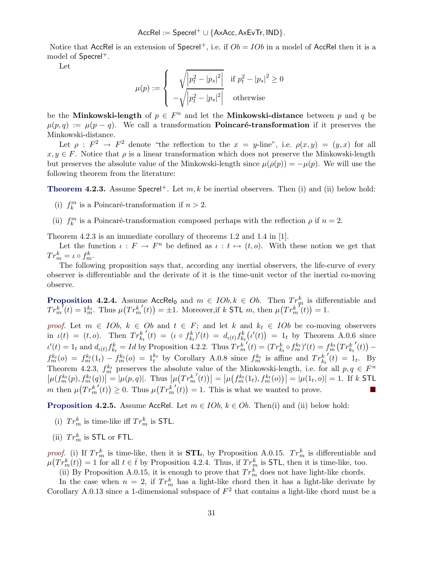$$
\mathsf{AccRel} := \mathsf{Specrel}^+ \cup \{\mathsf{AxAcc}, \mathsf{AxEvTr}, \mathsf{IND}\}.
$$

Notice that AccRel is an extension of Specrel<sup>+</sup>, i.e. if  $Ob = IOb$  in a model of AccRel then it is a model of Specrel<sup>+</sup>.

Let

$$
\mu(p) := \begin{cases} \sqrt{|p_t^2 - |p_s|^2} & \text{if } p_t^2 - |p_s|^2 \ge 0\\ -\sqrt{|p_t^2 - |p_s|^2} & \text{otherwise} \end{cases}
$$

be the **Minkowski-length** of  $p \in F^n$  and let the **Minkowski-distance** between p and q be  $\mu(p,q) := \mu(p-q)$ . We call a transformation **Poincaré-transformation** if it preserves the Minkowski-distance.

Let  $\rho: F^2 \to F^2$  denote "the reflection to the  $x = y$ -line", i.e.  $\rho(x, y) = (y, x)$  for all  $x, y \in F$ . Notice that  $\rho$  is a linear transformation which does not preserve the Minkowski-length but preserves the absolute value of the Minkowski-length since  $\mu(\rho(p)) = -\mu(p)$ . We will use the following theorem from the literature:

**Theorem 4.2.3.** Assume Specrel<sup>+</sup>. Let  $m, k$  be inertial observers. Then (i) and (ii) below hold:

- (i)  $f_k^m$  is a Poincaré-transformation if  $n > 2$ .
- (ii)  $f_k^m$  is a Poincaré-transformation composed perhaps with the reflection  $\rho$  if  $n = 2$ .

Theorem 4.2.3 is an immediate corollary of theorems 1.2 and 1.4 in [1].

Let the function  $\iota : F \to F^n$  be defined as  $\iota : t \mapsto (t, o)$ . With these notion we get that  $Tr_m^k = \iota \circ f_m^k$ .

The following proposition says that, according any inertial observers, the life-curve of every observer is differentiable and the derivate of it is the time-unit vector of the inertial co-moving observe.

**Proposition 4.2.4.** Assume  $AccRel_0$  and  $m \in IOb, k \in Ob$ . Then  $Tr^k_m$  is differentiable and  $Tr^k_m$  $\mathcal{I}(t) = 1_m^{k_t}$ . Thus  $\mu\left(Tr_m^k\right)$  $\mathcal{O}(t)$  =  $\pm 1$ . Moreover, if k STL m, then  $\mu\left(Tr_m^k\right)$  $\binom{n}{t} = 1.$ 

proof. Let  $m \in IOb$ ,  $k \in Ob$  and  $t \in F$ ; and let k and  $k_t \in IOb$  be co-moving observers in  $u(t) = (t, o)$ . Then  $Tr_{k_t}^k$  $\mathcal{L}(t) = (\iota \circ f_{k_t}^k)'(t) = d_{\iota(t)} f_{k_t}^k(\iota'(t)) = 1_t$  by Theorem A.0.6 since  $u'(t) = 1_t$  and  $d_{\iota(t)} f_{k_t}^k = Id$  by Proposition 4.2.2. Thus  $Tr_m^k$  $\mathcal{L}'(t) = (Tr_{k_t}^k \circ f_m^{k_t})'(t) = f_m^{k_t} (Tr_{k_t}^k)$  $'(t)$ ) –  $f_m^{k_t}(o) = f_m^{k_t}(1_t) - f_m^{k_t}(o) = 1_t^{k_t}$  by Corollary A.0.8 since  $f_m^{k_t}$  is affine and  $Tr_{k_t}^k$  $'(t) = 1_t$ . By Theorem 4.2.3,  $f_m^{k_t}$  preserves the absolute value of the Minkowski-length, i.e. for all  $p, q \in F^n$  $|\mu(f_m^{k_t}(p), f_m^{k_t}(q))| = |\mu(p, q)|$ . Thus  $|\mu(Tr_m^k)$  $\left|f'(t)\right| = \left|\mu\big(f_m^{k_t}(1_t), f_m^{k_t}(o)\big)\right| = \left|\mu(1_t, o)\right| = 1$ . If k STL m then  $\mu\left(Tr_m^k\right)$  $u'(t)$   $\geq 0$ . Thus  $\mu\left(Tr_m^k\right)$  $\mathcal{O}(t)$  = 1. This is what we wanted to prove.

**Proposition 4.2.5.** Assume AccRel. Let  $m \in IOb$ ,  $k \in Ob$ . Then(i) and (ii) below hold:

- (i)  $Tr_m^k$  is time-like iff  $Tr_m^k$  is STL.
- (ii)  $Tr_m^k$  is STL or FTL.

proof. (i) If  $Tr_m^k$  is time-like, then it is **STL**, by Proposition A.0.15.  $Tr_m^k$  is differentiable and  $\mu(Tr_m^k(t)) = 1$  for all  $t \in \bar{t}$  by Proposition 4.2.4. Thus, if  $Tr_m^k$  is STL, then it is time-like, too.

(ii) By Proposition A.0.15, it is enough to prove that  $Tr_m^k$  does not have light-like chords.

In the case when  $n = 2$ , if  $Tr_m^k$  has a light-like chord then it has a light-like derivate by Corollary A.0.13 since a 1-dimensional subspace of  $F^2$  that contains a light-like chord must be a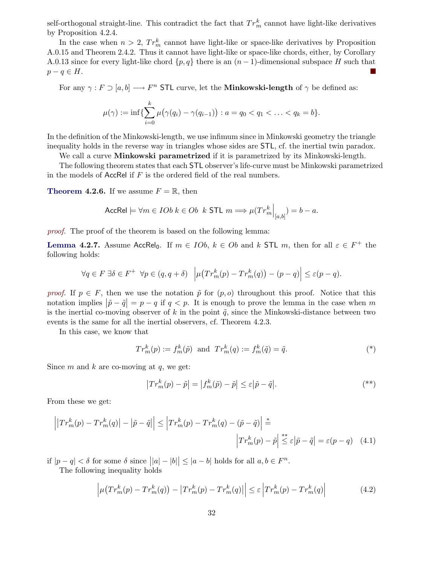self-orthogonal straight-line. This contradict the fact that  $Tr_m^k$  cannot have light-like derivatives by Proposition 4.2.4.

In the case when  $n > 2$ ,  $Tr_m^k$  cannot have light-like or space-like derivatives by Proposition A.0.15 and Theorem 2.4.2. Thus it cannot have light-like or space-like chords, either, by Corollary A.0.13 since for every light-like chord  $\{p, q\}$  there is an  $(n-1)$ -dimensional subspace H such that  $p - q \in H$ .  $p - q \in H$ .

For any  $\gamma: F \supset [a, b] \longrightarrow F^n$  STL curve, let the **Minkowski-length** of  $\gamma$  be defined as:

$$
\mu(\gamma) := \inf \{ \sum_{i=0}^k \mu(\gamma(q_i) - \gamma(q_{i-1})) : a = q_0 < q_1 < \ldots < q_k = b \}.
$$

In the definition of the Minkowski-length, we use infimum since in Minkowski geometry the triangle inequality holds in the reverse way in triangles whose sides are STL, cf. the inertial twin paradox.

We call a curve Minkowski parametrized if it is parametrized by its Minkowski-length.

The following theorem states that each STL observer's life-curve must be Minkowski parametrized in the models of AccRel if  $F$  is the ordered field of the real numbers.

**Theorem 4.2.6.** If we assume  $F = \mathbb{R}$ , then

$$
\mathsf{AccRel} \models \forall m \in IOb \ k \in Ob \ k \mathsf{STL} \ m \Longrightarrow \mu(Tr^k_m \Big|_{[a,b]}) = b - a.
$$

proof. The proof of the theorem is based on the following lemma:

**Lemma 4.2.7.** Assume  $AccRel_0$ . If  $m \in IOb$ ,  $k \in Ob$  and  $k$  STL  $m$ , then for all  $\varepsilon \in F^+$  the following holds:

$$
\forall q \in F \; \exists \delta \in F^+ \; \; \forall p \in (q, q + \delta) \; \; \left| \mu \big( Tr_m^k(p) - Tr_m^k(q) \big) - (p - q) \right| \leq \varepsilon(p - q).
$$

proof. If  $p \in F$ , then we use the notation  $\tilde{p}$  for  $(p, o)$  throughout this proof. Notice that this notation implies  $|\tilde{p} - \tilde{q}| = p - q$  if  $q < p$ . It is enough to prove the lemma in the case when m is the inertial co-moving observer of k in the point  $\tilde{q}$ , since the Minkowski-distance between two events is the same for all the inertial observers, cf. Theorem 4.2.3.

In this case, we know that

$$
Tr_m^k(p) := f_m^k(\tilde{p}) \text{ and } Tr_m^k(q) := f_m^k(\tilde{q}) = \tilde{q}.
$$
 (\*)

Since  $m$  and  $k$  are co-moving at  $q$ , we get:

$$
|Tr_m^k(p) - \tilde{p}| = |f_m^k(\tilde{p}) - \tilde{p}| \le \varepsilon |\tilde{p} - \tilde{q}|.
$$

From these we get:

$$
\left| \left| Tr_m^k(p) - Tr_m^k(q) \right| - \left| \tilde{p} - \tilde{q} \right| \right| \le \left| Tr_m^k(p) - Tr_m^k(q) - (\tilde{p} - \tilde{q}) \right| \stackrel{*}{=} \left| Tr_m^k(p) - \tilde{p} \right| \stackrel{*}{\le} \varepsilon |\tilde{p} - \tilde{q}| = \varepsilon(p - q) \quad (4.1)
$$

if  $|p-q| < \delta$  for some  $\delta$  since  $||a|-|b|| \leq |a-b|$  holds for all  $a, b \in F^n$ .

The following inequality holds

$$
\left| \mu \big( Tr_m^k(p) - Tr_m^k(q) \big) - \left| Tr_m^k(p) - Tr_m^k(q) \right| \right| \le \varepsilon \left| Tr_m^k(p) - Tr_m^k(q) \right| \tag{4.2}
$$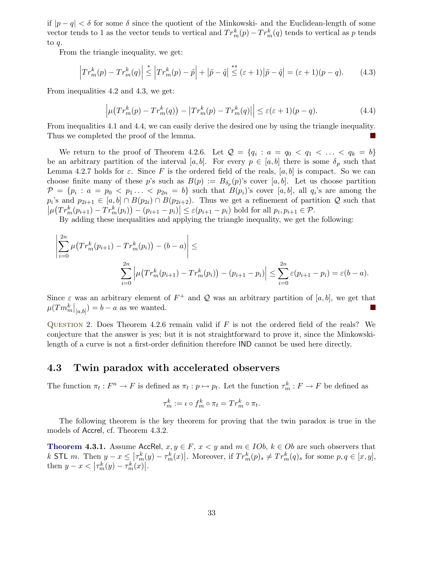if  $|p - q| < \delta$  for some  $\delta$  since the quotient of the Minkowski- and the Euclidean-length of some vector tends to 1 as the vector tends to vertical and  $Tr_m^k(p) - Tr_m^k(q)$  tends to vertical as p tends to  $q$ .

From the triangle inequality, we get:

$$
\left|Tr_m^k(p) - Tr_m^k(q)\right| \stackrel{*}{\leq} \left|Tr_m^k(p) - \tilde{p}\right| + \left|\tilde{p} - \tilde{q}\right| \stackrel{*}{\leq} (\varepsilon + 1)\left|\tilde{p} - \tilde{q}\right| = (\varepsilon + 1)(p - q). \tag{4.3}
$$

From inequalities 4.2 and 4.3, we get:

$$
\left|\mu\big(Tr_m^k(p) - Tr_m^k(q)\big) - \left|Tr_m^k(p) - Tr_m^k(q)\right|\right| \leq \varepsilon(\varepsilon + 1)(p - q). \tag{4.4}
$$

From inequalities 4.1 and 4.4, we can easily derive the desired one by using the triangle inequality. Thus we completed the proof of the lemma.

We return to the proof of Theorem 4.2.6. Let  $\mathcal{Q} = \{q_i : a = q_0 < q_1 < \ldots < q_k = b\}$ be an arbitrary partition of the interval [a, b]. For every  $p \in [a, b]$  there is some  $\delta_p$  such that Lemma 4.2.7 holds for  $\varepsilon$ . Since F is the ordered field of the reals,  $[a, b]$  is compact. So we can choose finite many of these p's such as  $B(p) := B_{\delta_p}(p)$ 's cover [a, b]. Let us choose partition  $\mathcal{P} = \{p_i : a = p_0 \leq p_1 \ldots \leq p_{2n} = b\}$  such that  $B(p_i)$ 's cover  $[a, b]$ , all  $q_i$ 's are among the  $p_i$ 's and  $p_{2i+1} \in [a, b] \cap B(p_{2i}) \cap B(p_{2i+2})$ . Thus we get a refinement of partition  $\mathcal{Q}$  such that  $|\mu(Tr_m^k(p_{i+1}) - Tr_m^k(p_i)) - (p_{i+1} - p_i)| \le \varepsilon(p_{i+1} - p_i)$  hold for all  $p_i, p_{i+1} \in \mathcal{P}$ .

By adding these inequalities and applying the triangle inequality, we get the following:

$$
\left| \sum_{i=0}^{2n} \mu(Tr_m^k(p_{i+1}) - Tr_m^k(p_i)) - (b - a) \right| \le
$$
  

$$
\sum_{i=0}^{2n} \left| \mu(Tr_m^k(p_{i+1}) - Tr_m^k(p_i)) - (p_{i+1} - p_i) \right| \le \sum_{i=0}^{2n} \varepsilon(p_{i+1} - p_i) = \varepsilon(b - a).
$$

Since  $\varepsilon$  was an arbitrary element of  $F^+$  and Q was an arbitrary partition of [a, b], we get that  $\mu(Tm_m^k|_{[a,b]}) = b - a$  as we wanted.

QUESTION 2. Does Theorem 4.2.6 remain valid if  $F$  is not the ordered field of the reals? We conjecture that the answer is yes; but it is not straightforward to prove it, since the Minkowskilength of a curve is not a first-order definition therefore IND cannot be used here directly.

#### 4.3 Twin paradox with accelerated observers

The function  $\pi_t : F^n \to F$  is defined as  $\pi_t : p \mapsto p_t$ . Let the function  $\tau_m^k : F \to F$  be defined as

$$
\tau_m^k := \iota \circ f_m^k \circ \pi_t = Tr_m^k \circ \pi_t.
$$

The following theorem is the key theorem for proving that the twin paradox is true in the models of Accrel, cf. Theorem 4.3.2.

**Theorem 4.3.1.** Assume AccRel,  $x, y \in F$ ,  $x < y$  and  $m \in IOb$ ,  $k \in Ob$  are such observers that k STL m. Then  $y - x \le |r_m^k(y) - r_m^k(x)|$ . Moreover, if  $Tr_m^k(p)_s \ne Tr_m^k(q)_s$  for some  $p, q \in [x, y]$ , then  $y - x < |\tau_m^k(y) - \tau_m^k(x)|$ .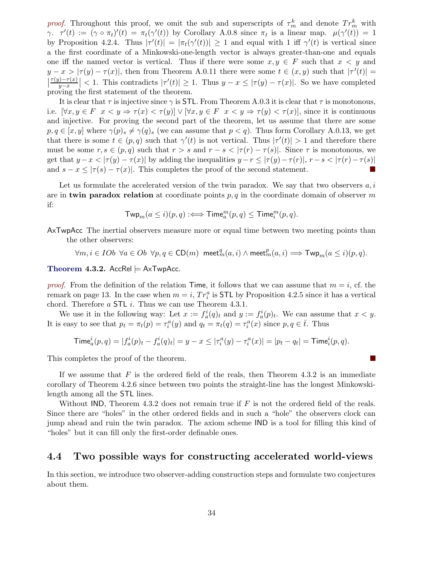*proof.* Throughout this proof, we omit the sub and superscripts of  $\tau_m^k$  and denote  $Tr_m^k$  with  $\gamma$ .  $\tau'(t) := (\gamma \circ \pi_t)'(t) = \pi_t(\gamma'(t))$  by Corollary A.0.8 since  $\pi_t$  is a linear map.  $\mu(\gamma'(t)) = 1$ by Proposition 4.2.4. Thus  $|\tau'(t)| = |\pi_t(\gamma'(t))| \ge 1$  and equal with 1 iff  $\gamma'(t)$  is vertical since a the first coordinate of a Minkowski-one-length vector is always greater-than-one and equals one iff the named vector is vertical. Thus if there were some  $x, y \in F$  such that  $x < y$  and  $y-x > |\tau(y) - \tau(x)|$ , then from Theorem A.0.11 there were some  $t \in (x, y)$  such that  $|\tau'|$  $y-x > |\tau(y) - \tau(x)|$ , then from Theorem A.0.11 there were some  $t \in (x, y)$  such that  $|\tau'(t)| =$ <br> $\left|\frac{\tau(y)-\tau(x)}{y-x}\right| < 1$ . This contradicts  $|\tau'(t)| \ge 1$ . Thus  $y-x \le |\tau(y) - \tau(x)|$ . So we have completed  $\frac{y(x)-\tau(x)}{y-x}$  < 1. This contradicts  $|\tau'(t)| \geq 1$ . Thus  $y-x \leq |\tau(y)-\tau(x)|$ . So we have completed proving the first statement of the theorem.

It is clear that  $\tau$  is injective since  $\gamma$  is STL. From Theorem A.0.3 it is clear that  $\tau$  is monotonous, i.e.  $[\forall x, y \in F \ x < y \Rightarrow \tau(x) < \tau(y)] \vee [\forall x, y \in F \ x < y \Rightarrow \tau(y) < \tau(x)]$ , since it is continuous and injective. For proving the second part of the theorem, let us assume that there are some  $p, q \in [x, y]$  where  $\gamma(p)_s \neq \gamma(q)_s$  (we can assume that  $p < q$ ). Thus form Corollary A.0.13, we get that there is some  $t \in (p,q)$  such that  $\gamma'(t)$  is not vertical. Thus  $|\tau'(t)| > 1$  and therefore there must be some  $r, s \in (p, q)$  such that  $r > s$  and  $r - s < |\tau(r) - \tau(s)|$ . Since  $\tau$  is monotonous, we get that  $y - x < |\tau(y) - \tau(x)|$  by adding the inequalities  $y - r \leq |\tau(y) - \tau(r)|$ ,  $r - s < |\tau(r) - \tau(s)|$ <br>and  $s - x < |\tau(s) - \tau(x)|$ . This completes the proof of the second statement. and  $s - x \leq |\tau(s) - \tau(x)|$ . This completes the proof of the second statement.

Let us formulate the accelerated version of the twin paradox. We say that two observers  $a, i$ are in twin paradox relation at coordinate points  $p, q$  in the coordinate domain of observer m if:

$$
\mathsf{Twp}_m(a\leq i)(p,q):\Longleftrightarrow \mathsf{Time}^m_a(p,q)\leq \mathsf{Time}^m_i(p,q).
$$

AxTwpAcc The inertial observers measure more or equal time between two meeting points than the other observers:

 $\forall m,i \in IOb \; \; \forall a \in Ob \; \; \forall p,q \in \mathsf{CD}(m) \; \; \mathsf{meet}^q_m(a,i) \land \mathsf{meet}^p_m(a,i) \Longrightarrow \mathsf{Twp}_m(a \leq i)(p,q).$ 

Theorem 4.3.2. AccRel  $\models$  AxTwpAcc.

*proof.* From the definition of the relation Time, it follows that we can assume that  $m = i$ , cf. the remark on page 13. In the case when  $m = i$ ,  $Tr_i^a$  is **STL** by Proposition 4.2.5 since it has a vertical chord. Therefore  $a$  STL  $i$ . Thus we can use Theorem 4.3.1.

We use it in the following way: Let  $x := f_a^i(q)_t$  and  $y := f_a^i(p)_t$ . We can assume that  $x < y$ . It is easy to see that  $p_t = \pi_t(p) = \tau_i^a(y)$  and  $q_t = \pi_t(q) = \tau_i^a(x)$  since  $p, q \in \overline{t}$ . Thus

$$
\mathsf{Time}_{a}^{i}(p,q) = |f_{a}^{i}(p)_{t} - f_{a}^{i}(q)_{t}| = y - x \leq |\tau_{i}^{a}(y) - \tau_{i}^{a}(x)| = |p_{t} - q_{t}| = \mathsf{Time}_{i}^{i}(p,q).
$$

This completes the proof of the theorem.

If we assume that  $F$  is the ordered field of the reals, then Theorem 4.3.2 is an immediate corollary of Theorem 4.2.6 since between two points the straight-line has the longest Minkowskilength among all the STL lines.

Without IND, Theorem 4.3.2 does not remain true if  $F$  is not the ordered field of the reals. Since there are "holes" in the other ordered fields and in such a "hole" the observers clock can jump ahead and ruin the twin paradox. The axiom scheme IND is a tool for filling this kind of "holes" but it can fill only the first-order definable ones.

### 4.4 Two possible ways for constructing accelerated world-views

In this section, we introduce two observer-adding construction steps and formulate two conjectures about them.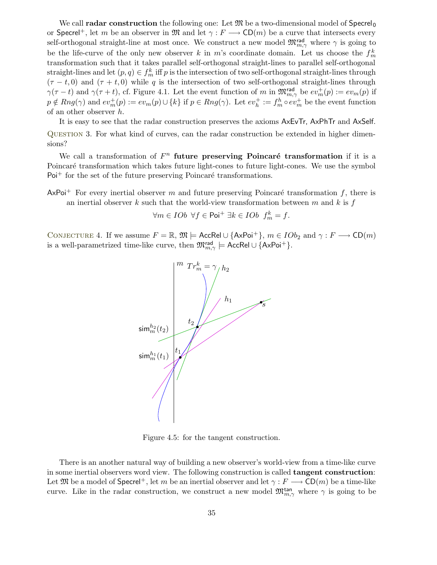We call **radar construction** the following one: Let  $\mathfrak{M}$  be a two-dimensional model of Specrel<sub>0</sub> or Specrel<sup>+</sup>, let m be an observer in  $\mathfrak{M}$  and let  $\gamma : F \longrightarrow \mathsf{CD}(m)$  be a curve that intersects every self-orthogonal straight-line at most once. We construct a new model  $\mathfrak{M}^{\text{rad}}_{m,\gamma}$  where  $\gamma$  is going to be the life-curve of the only new observer k in m's coordinate domain. Let us choose the  $f_m^k$ transformation such that it takes parallel self-orthogonal straight-lines to parallel self-orthogonal straight-lines and let  $(p, q) \in f_m^k$  iff p is the intersection of two self-orthogonal straight-lines through  $(\tau - t, 0)$  and  $(\tau + t, 0)$  while q is the intersection of two self-orthogonal straight-lines through  $\gamma(\tau-t)$  and  $\gamma(\tau+t)$ , cf. Figure 4.1. Let the event function of m in  $\mathfrak{M}_{m,\gamma}^{\mathsf{rad}}$  be  $ev_m^+(p) := ev_m(p)$  if  $p \notin Rng(\gamma)$  and  $ev_m^+(p) := ev_m(p) \cup \{k\}$  if  $p \in Rng(\gamma)$ . Let  $ev_h^+ := f_m^h \circ ev_m^+$  be the event function of an other observer h.

It is easy to see that the radar construction preserves the axioms AxEvTr, AxPhTr and AxSelf. Question 3. For what kind of curves, can the radar construction be extended in higher dimensions?

We call a transformation of  $F<sup>n</sup>$  future preserving Poincaré transformation if it is a Poincaré transformation which takes future light-cones to future light-cones. We use the symbol  $Poi<sup>+</sup>$  for the set of the future preserving Poincaré transformations.

 $AxPoi<sup>+</sup>$  For every inertial observer m and future preserving Poincaré transformation f, there is an inertial observer k such that the world-view transformation between m and k is  $f$ 

$$
\forall m \in IOb \ \forall f \in \mathsf{Poi}^+ \ \exists k \in IOb \ f_m^k = f.
$$

CONJECTURE 4. If we assume  $F = \mathbb{R}, \mathfrak{M} \models$  AccRel  $\cup$  {AxPoi<sup>+</sup>},  $m \in IOb_2 \text{ and } \gamma : F \longrightarrow \mathsf{CD}(m)$ is a well-parametrized time-like curve, then  $\mathfrak{M}^{\mathsf{rad}}_{m,\gamma} \models \mathsf{AccRel} \cup \{\mathsf{AxPoi}^+\}.$ 



Figure 4.5: for the tangent construction.

There is an another natural way of building a new observer's world-view from a time-like curve in some inertial observers word view. The following construction is called tangent construction: Let  $\mathfrak{M}$  be a model of Specrel<sup>+</sup>, let m be an inertial observer and let  $\gamma : F \longrightarrow \mathsf{CD}(m)$  be a time-like curve. Like in the radar construction, we construct a new model  $\mathfrak{M}^{\text{tan}}_{m,\gamma}$  where  $\gamma$  is going to be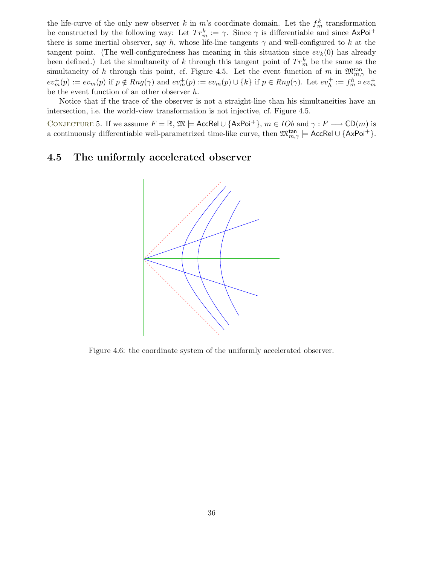the life-curve of the only new observer k in m's coordinate domain. Let the  $f_m^k$  transformation be constructed by the following way: Let  $Tr_m^k := \gamma$ . Since  $\gamma$  is differentiable and since AxPoi<sup>+</sup> there is some inertial observer, say h, whose life-line tangents  $\gamma$  and well-configured to k at the tangent point. (The well-configuredness has meaning in this situation since  $ev_k(0)$  has already been defined.) Let the simultaneity of k through this tangent point of  $Tr_m^k$  be the same as the simultaneity of h through this point, cf. Figure 4.5. Let the event function of m in  $\mathfrak{M}^{\text{tan}}_{m,\gamma}$  be  $ev_m^+(p) := ev_m(p)$  if  $p \notin Rng(\gamma)$  and  $ev_m^+(p) := ev_m(p) \cup \{k\}$  if  $p \in Rng(\gamma)$ . Let  $ev_h^+ := f_m^h \circ ev_m^+$ be the event function of an other observer h.

Notice that if the trace of the observer is not a straight-line than his simultaneities have an intersection, i.e. the world-view transformation is not injective, cf. Figure 4.5.

CONJECTURE 5. If we assume  $F = \mathbb{R}, \mathfrak{M} \models$  AccRel  $\cup$  {AxPoi<sup>+</sup>},  $m \in IOb$  and  $\gamma : F \longrightarrow \mathsf{CD}(m)$  is a continuously differentiable well-parametrized time-like curve, then  $\mathfrak{M}^{\text{tan}}_{m,\gamma} \models$  AccRel  $\cup$  {AxPoi<sup>+</sup>}.

### 4.5 The uniformly accelerated observer



Figure 4.6: the coordinate system of the uniformly accelerated observer.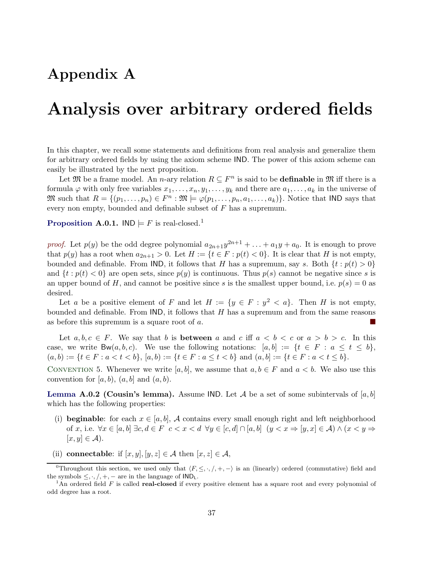## Appendix A

## Analysis over arbitrary ordered fields

In this chapter, we recall some statements and definitions from real analysis and generalize them for arbitrary ordered fields by using the axiom scheme IND. The power of this axiom scheme can easily be illustrated by the next proposition.

Let  $\mathfrak{M}$  be a frame model. An *n*-ary relation  $R \subseteq F^n$  is said to be **definable** in  $\mathfrak{M}$  iff there is a formula  $\varphi$  with only free variables  $x_1, \ldots, x_n, y_1, \ldots, y_k$  and there are  $a_1, \ldots, a_k$  in the universe of  $\mathfrak{M}$  such that  $R = \{(p_1, \ldots, p_n) \in F^n : \mathfrak{M} \models \varphi(p_1, \ldots, p_n, a_1, \ldots, a_k)\}\.$  Notice that IND says that every non empty, bounded and definable subset of F has a supremum.

**Proposition A.0.1.** IND  $\models$  F is real-closed.<sup>1</sup>

*proof.* Let  $p(y)$  be the odd degree polynomial  $a_{2n+1}y^{2n+1} + \ldots + a_1y + a_0$ . It is enough to prove that  $p(y)$  has a root when  $a_{2n+1} > 0$ . Let  $H := \{t \in F : p(t) < 0\}$ . It is clear that H is not empty, bounded and definable. From IND, it follows that H has a supremum, say s. Both  $\{t : p(t) > 0\}$ and  $\{t : p(t) < 0\}$  are open sets, since  $p(y)$  is continuous. Thus  $p(s)$  cannot be negative since s is an upper bound of H, and cannot be positive since s is the smallest upper bound, i.e.  $p(s) = 0$  as desired.

Let a be a positive element of F and let  $H := \{y \in F : y^2 < a\}$ . Then H is not empty, bounded and definable. From  $\mathsf{IND}$ , it follows that H has a supremum and from the same reasons as before this supremum is a square root of a.

Let  $a, b, c \in F$ . We say that b is **between** a and c iff  $a < b < c$  or  $a > b > c$ . In this case, we write  $Bw(a, b, c)$ . We use the following notations:  $[a, b] := \{t \in F : a \le t \le b\}$ ,  $(a, b) := \{t \in F : a < t < b\}, \ [a, b) := \{t \in F : a \le t < b\} \text{ and } (a, b) := \{t \in F : a < t \le b\}.$ 

CONVENTION 5. Whenever we write [a, b], we assume that  $a, b \in F$  and  $a < b$ . We also use this convention for  $[a, b)$ ,  $(a, b]$  and  $(a, b)$ .

**Lemma A.0.2 (Cousin's lemma).** Assume IND. Let A be a set of some subintervals of [a, b] which has the following properties:

- (i) beginable: for each  $x \in [a, b]$ , A contains every small enough right and left neighborhood of x, i.e.  $\forall x \in [a, b] \exists c, d \in F \ c < x < d \ \forall y \in [c, d] \cap [a, b] \ (y < x \Rightarrow [y, x] \in A) \wedge (x < y \Rightarrow$  $[x, y] \in \mathcal{A}.$
- (ii) connectable: if  $[x, y], [y, z] \in \mathcal{A}$  then  $[x, z] \in \mathcal{A}$ ,

<sup>&</sup>lt;sup>0</sup>Throughout this section, we used only that  $\langle F, \leq, \cdot, /, +, - \rangle$  is an (linearly) ordered (commutative) field and the symbols  $\leq$ ,  $\cdot$ ,  $\cdot$ ,  $\neq$ ,  $\sim$  are in the language of  $\mathsf{IND}_\mathsf{L}$ .

<sup>&</sup>lt;sup>1</sup>An ordered field F is called **real-closed** if every positive element has a square root and every polynomial of odd degree has a root.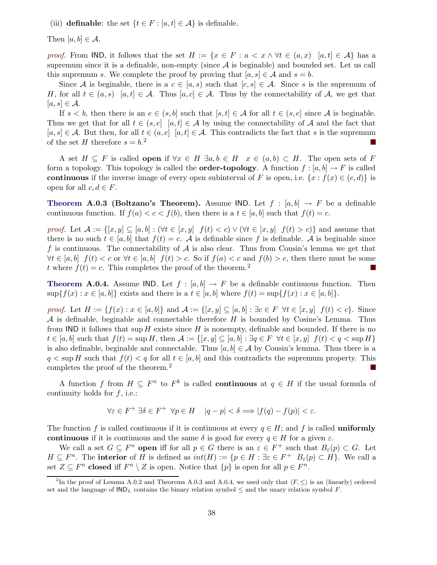(iii) definable: the set  $\{t \in F : [a, t] \in \mathcal{A}\}\)$  is definable.

Then  $[a, b] \in \mathcal{A}$ .

proof. From IND, it follows that the set  $H := \{x \in F : a < x \wedge \forall t \in (a,x) \mid [a,t] \in \mathcal{A}\}\)$  has a supremum since it is a definable, non-empty (since  $A$  is beginable) and bounded set. Let us call this supremum s. We complete the proof by proving that  $[a, s] \in A$  and  $s = b$ .

Since A is beginable, there is a  $c \in [a, s)$  such that  $[c, s] \in \mathcal{A}$ . Since s is the supremum of H, for all  $t \in (a, s)$  [a,t]  $\in \mathcal{A}$ . Thus [a,c]  $\in \mathcal{A}$ . Thus by the connectability of A, we get that  $[a, s] \in \mathcal{A}.$ 

If  $s < b$ , then there is an  $e \in (s, b]$  such that  $[s, t] \in A$  for all  $t \in (s, e]$  since A is beginable. Thus we get that for all  $t \in (s, e]$  [a,t]  $\in \mathcal{A}$  by using the connectability of  $\mathcal{A}$  and the fact that  $[a, s] \in \mathcal{A}$ . But then, for all  $t \in (a, e]$   $[a, t] \in \mathcal{A}$ . This contradicts the fact that s is the supremum of the set H therefore  $s = b$ <sup>2</sup>  $2 \frac{1}{2}$ 

A set  $H \subseteq F$  is called **open** if  $\forall x \in H \exists a, b \in H \quad x \in (a, b) \subset H$ . The open sets of F form a topology. This topology is called the **order-topology**. A function  $f : [a, b] \to F$  is called continuous if the inverse image of every open subinterval of F is open, i.e.  $\{x : f(x) \in (c,d)\}\$ is open for all  $c, d \in F$ .

**Theorem A.0.3 (Boltzano's Theorem).** Assume IND. Let  $f : [a, b] \rightarrow F$  be a definable continuous function. If  $f(a) < c < f(b)$ , then there is a  $t \in [a, b]$  such that  $f(t) = c$ .

proof. Let  $\mathcal{A} := \{ [x, y] \subseteq [a, b] : (\forall t \in [x, y] \mid f(t) < c) \vee (\forall t \in [x, y] \mid f(t) > c) \}$  and assume that there is no such  $t \in [a, b]$  that  $f(t) = c$ . A is definable since f is definable. A is beginable since f is continuous. The connectability of  $A$  is also clear. Thus from Cousin's lemma we get that  $\forall t \in [a, b]$   $f(t) < c$  or  $\forall t \in [a, b]$   $f(t) > c$ . So if  $f(a) < c$  and  $f(b) > c$ , then there must be some t where  $f(t) = c$ . This completes the proof of the theorem.<sup>2</sup>

**Theorem A.0.4.** Assume IND. Let  $f : [a, b] \rightarrow F$  be a definable continuous function. Then  $\sup\{f(x): x \in [a, b]\}\$ exists and there is a  $t \in [a, b]$  where  $f(t) = \sup\{f(x): x \in [a, b]\}.$ 

proof. Let  $H := \{f(x) : x \in [a, b]\}$  and  $\mathcal{A} := \{[x, y] \subseteq [a, b] : \exists c \in F \ \forall t \in [x, y] \ f(t) < c\}$ . Since  $\mathcal A$  is definable, beginable and connectable therefore  $H$  is bounded by Cosine's Lemma. Thus from IND it follows that  $\sup H$  exists since H is nonempty, definable and bounded. If there is no  $t \in [a, b]$  such that  $f(t) = \sup H$ , then  $\mathcal{A} := \{ [x, y] \subseteq [a, b] : \exists q \in F \ \forall t \in [x, y] \ f(t) < q < \sup H \}$ is also definable, beginable and connectable. Thus  $[a, b] \in A$  by Cousin's lemma. Thus there is a  $q < \sup H$  such that  $f(t) < q$  for all  $t \in [a, b]$  and this contradicts the supremum property. This completes the proof of the theorem.<sup>2</sup>

A function f from  $H \subseteq F^n$  to  $F^k$  is called **continuous** at  $q \in H$  if the usual formula of continuity holds for  $f$ , i.e.:

$$
\forall \varepsilon \in F^+ \; \exists \delta \in F^+ \; \; \forall p \in H \quad |q - p| < \delta \Longrightarrow |f(q) - f(p)| < \varepsilon.
$$

The function f is called continuous if it is continuous at every  $q \in H$ ; and f is called **uniformly** continuous if it is continuous and the same  $\delta$  is good for every  $q \in H$  for a given  $\varepsilon$ .

We call a set  $G \subseteq F^n$  open iff for all  $p \in G$  there is an  $\varepsilon \in F^+$  such that  $B_{\varepsilon}(p) \subset G$ . Let  $H \subseteq F^n$ . The **interior** of H is defined as  $int(H) := \{p \in H : \exists \varepsilon \in F^+ \mid B_{\varepsilon}(p) \subset H\}$ . We call a set  $Z \subseteq F^n$  closed iff  $F^n \setminus Z$  is open. Notice that  $\{p\}$  is open for all  $p \in F^n$ .

<sup>&</sup>lt;sup>2</sup>In the proof of Lemma A.0.2 and Theorems A.0.3 and A.0.4, we used only that  $\langle F, \leq \rangle$  is an (linearly) ordered set and the language of  $\mathsf{IND}_L$  contains the binary relation symbol  $\leq$  and the unary relation symbol F.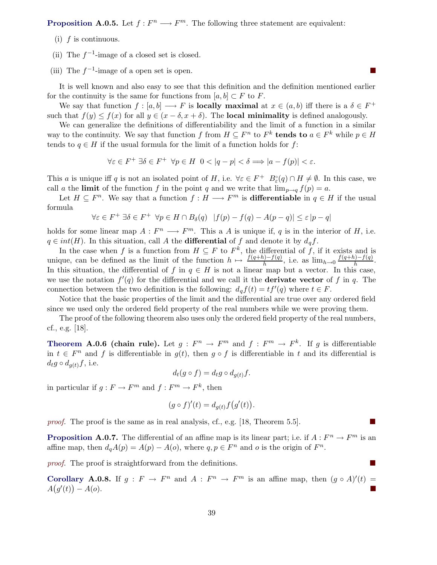**Proposition A.0.5.** Let  $f : F^n \longrightarrow F^m$ . The following three statement are equivalent:

- (i)  $f$  is continuous.
- (ii) The  $f^{-1}$ -image of a closed set is closed.
- (iii) The  $f^{-1}$ -image of a open set is open.

It is well known and also easy to see that this definition and the definition mentioned earlier for the continuity is the same for functions from  $[a, b] \subset F$  to F.

We say that function  $f : [a, b] \longrightarrow F$  is **locally maximal** at  $x \in (a, b)$  iff there is a  $\delta \in F^+$ such that  $f(y) \le f(x)$  for all  $y \in (x - \delta, x + \delta)$ . The **local minimality** is defined analogously.

We can generalize the definitions of differentiability and the limit of a function in a similar way to the continuity. We say that function f from  $H \subseteq F^n$  to  $F^k$  **tends to**  $a \in F^k$  while  $p \in H$ tends to  $q \in H$  if the usual formula for the limit of a function holds for f:

$$
\forall \varepsilon \in F^+ \; \exists \delta \in F^+ \; \forall p \in H \; \; 0 < |q - p| < \delta \Longrightarrow |a - f(p)| < \varepsilon.
$$

This a is unique iff q is not an isolated point of H, i.e.  $\forall \varepsilon \in F^+$   $B_{\varepsilon}^{\circ}(q) \cap H \neq \emptyset$ . In this case, we call a the limit of the function f in the point q and we write that  $\lim_{p\to q} f(p) = a$ .

Let  $H \subseteq F^n$ . We say that a function  $f : H \longrightarrow F^m$  is **differentiable** in  $q \in H$  if the usual formula

$$
\forall \varepsilon \in F^+ \; \exists \delta \in F^+ \; \; \forall p \in H \cap B_\delta(q) \; \; |f(p) - f(q) - A(p - q)| \leq \varepsilon |p - q|
$$

holds for some linear map  $A: F^n \longrightarrow F^m$ . This a A is unique if, q is in the interior of H, i.e.  $q \in int(H)$ . In this situation, call A the **differential** of f and denote it by  $d_q f$ .

In the case when f is a function from  $H \subseteq F$  to  $F^k$ , the differential of f, if it exists and is unique, can be defined as the limit of the function  $h \mapsto \frac{f(q+h)-f(q)}{h}$ , i.e. as  $\lim_{h\to 0} \frac{f(q+h)-f(q)}{h}$  $\frac{a_1-f(q)}{h}$ . In this situation, the differential of f in  $q \in H$  is not a linear map but a vector. In this case, we use the notation  $f'(q)$  for the differential and we call it the **derivate vector** of f in q. The connection between the two definition is the following:  $d_q f(t) = t f'(q)$  where  $t \in F$ .

Notice that the basic properties of the limit and the differential are true over any ordered field since we used only the ordered field property of the real numbers while we were proving them.

The proof of the following theorem also uses only the ordered field property of the real numbers, cf., e.g. [18].

**Theorem A.0.6 (chain rule).** Let  $g: F^n \to F^m$  and  $f: F^m \to F^k$ . If g is differentiable in  $t \in F<sup>n</sup>$  and f is differentiable in  $g(t)$ , then  $g \circ f$  is differentiable in t and its differential is  $d_t g \circ d_{q(t)} f$ , i.e.

 $d_t(g \circ f) = d_t g \circ d_{a(t)} f.$ 

in particular if  $g: F \to F^m$  and  $f: F^m \to F^k$ , then

$$
(g \circ f)'(t) = d_{g(t)} f(g'(t)).
$$

proof. The proof is the same as in real analysis, cf., e.g. [18, Theorem 5.5].

**Proposition A.0.7.** The differential of an affine map is its linear part; i.e. if  $A: F^n \to F^m$  is an affine map, then  $d_qA(p) = A(p) - A(o)$ , where  $q, p \in F^n$  and o is the origin of  $F^n$ .

proof. The proof is straightforward from the definitions.

Corollary A.0.8. If  $g: F \to F^n$  and  $A: F^n \to F^m$  is an affine map, then  $(g \circ A)'(t) =$  $A(g'(t))$  $-A(o).$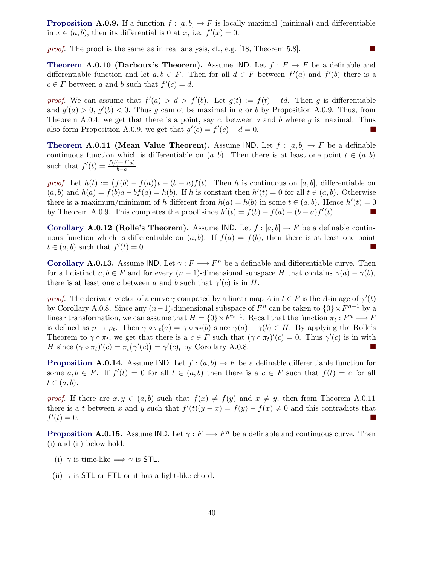**Proposition A.0.9.** If a function  $f : [a, b] \to F$  is locally maximal (minimal) and differentiable in  $x \in (a, b)$ , then its differential is 0 at x, i.e.  $f'(x) = 0$ .

proof. The proof is the same as in real analysis, cf., e.g. [18, Theorem 5.8].

**Theorem A.0.10 (Darboux's Theorem).** Assume IND. Let  $f : F \to F$  be a definable and differentiable function and let  $a, b \in F$ . Then for all  $d \in F$  between  $f'(a)$  and  $f'(b)$  there is a  $c \in F$  between a and b such that  $f'(c) = d$ .

proof. We can assume that  $f'(a) > d > f'(b)$ . Let  $g(t) := f(t) - td$ . Then g is differentiable and  $g'(a) > 0$ ,  $g'(b) < 0$ . Thus g cannot be maximal in a or b by Proposition A.0.9. Thus, from Theorem A.0.4, we get that there is a point, say c, between a and b where q is maximal. Thus also form Proposition A.0.9, we get that  $g'(c) = f'(c) - d = 0$ .

**Theorem A.0.11 (Mean Value Theorem).** Assume IND. Let  $f : [a, b] \rightarrow F$  be a definable continuous function which is differentiable on  $(a, b)$ . Then there is at least one point  $t \in (a, b)$ such that  $f'(t) = \frac{f(b)-f(a)}{b-a}$  $\frac{f(-f(a))}{b-a}.$ 

proof. Let  $h(t) := (f(b) - f(a))t - (b - a)f(t)$ . Then h is continuous on [a, b], differentiable on  $(a, b)$  and  $h(a) = f(b)a - bf(a) = h(b)$ . If h is constant then  $h'(t) = 0$  for all  $t \in (a, b)$ . Otherwise there is a maximum/minimum of h different from  $h(a) = h(b)$  in some  $t \in (a, b)$ . Hence  $h'(t) = 0$ by Theorem A.0.9. This completes the proof since  $h'(t) = f(b) - f(a) - (b - a)f'(t)$ .

Corollary A.0.12 (Rolle's Theorem). Assume IND. Let  $f : [a, b] \to F$  be a definable continuous function which is differentiable on  $(a, b)$ . If  $f(a) = f(b)$ , then there is at least one point  $t \in (a, b)$  such that  $f'$  $(t) = 0.$ 

**Corollary A.0.13.** Assume IND. Let  $\gamma : F \longrightarrow F^n$  be a definable and differentiable curve. Then for all distinct  $a, b \in F$  and for every  $(n-1)$ -dimensional subspace H that contains  $\gamma(a) - \gamma(b)$ , there is at least one c between a and b such that  $\gamma'(c)$  is in H.

*proof.* The derivate vector of a curve  $\gamma$  composed by a linear map A in  $t \in F$  is the A-image of  $\gamma'(t)$ by Corollary A.0.8. Since any  $(n-1)$ -dimensional subspace of  $F^n$  can be taken to  $\{0\} \times F^{n-1}$  by a linear transformation, we can assume that  $H = \{0\} \times F^{n-1}$ . Recall that the function  $\pi_t : F^n \longrightarrow F$ is defined as  $p \mapsto p_t$ . Then  $\gamma \circ \pi_t(a) = \gamma \circ \pi_t(b)$  since  $\gamma(a) - \gamma(b) \in H$ . By applying the Rolle's Theorem to  $\gamma \circ \pi_t$ , we get that there is a  $c \in F$  such that  $(\gamma \circ \pi_t)'(c) = 0$ . Thus  $\gamma'(c)$  is in with H since  $(\gamma \circ \pi_t)'(c) = \pi_t(\gamma'(c)) = \gamma'(c)_t$  by Corollary A.0.8.

**Proposition A.0.14.** Assume IND. Let  $f : (a, b) \to F$  be a definable differentiable function for some  $a, b \in F$ . If  $f'(t) = 0$  for all  $t \in (a, b)$  then there is a  $c \in F$  such that  $f(t) = c$  for all  $t \in (a, b).$ 

proof. If there are  $x, y \in (a, b)$  such that  $f(x) \neq f(y)$  and  $x \neq y$ , then from Theorem A.0.11 there is a t between x and y such that  $f'(t)(y - x) = f(y) - f(x) \neq 0$  and this contradicts that  $f'$  $(t) = 0.$ 

**Proposition A.0.15.** Assume IND. Let  $\gamma : F \longrightarrow F^n$  be a definable and continuous curve. Then (i) and (ii) below hold:

- (i)  $\gamma$  is time-like  $\implies \gamma$  is STL.
- (ii)  $\gamma$  is STL or FTL or it has a light-like chord.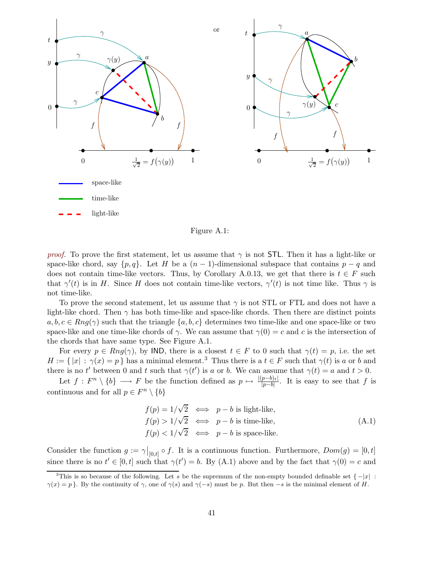

Figure A.1:

*proof.* To prove the first statement, let us assume that  $\gamma$  is not STL. Then it has a light-like or space-like chord, say  $\{p,q\}$ . Let H be a  $(n-1)$ -dimensional subspace that contains  $p-q$  and does not contain time-like vectors. Thus, by Corollary A.0.13, we get that there is  $t \in F$  such that  $\gamma'(t)$  is in H. Since H does not contain time-like vectors,  $\gamma'(t)$  is not time like. Thus  $\gamma$  is not time-like.

To prove the second statement, let us assume that  $\gamma$  is not STL or FTL and does not have a light-like chord. Then  $\gamma$  has both time-like and space-like chords. Then there are distinct points  $a, b, c \in Rng(\gamma)$  such that the triangle  $\{a, b, c\}$  determines two time-like and one space-like or two space-like and one time-like chords of  $\gamma$ . We can assume that  $\gamma(0) = c$  and c is the intersection of the chords that have same type. See Figure A.1.

For every  $p \in Rng(\gamma)$ , by IND, there is a closest  $t \in F$  to 0 such that  $\gamma(t) = p$ , i.e. the set  $H := \{ |x| : \gamma(x) = p \}$  has a minimal element.<sup>3</sup> Thus there is a  $t \in F$  such that  $\gamma(t)$  is a or b and there is no t' between 0 and t such that  $\gamma(t')$  is a or b. We can assume that  $\gamma(t) = a$  and  $t > 0$ .

Let  $f: F^n \setminus \{b\} \longrightarrow F$  be the function defined as  $p \mapsto \frac{|(p-b)_t|}{|p-b|}$ . It is easy to see that f is continuous and for all  $p \in F^n \setminus \{b\}$ 

$$
f(p) = 1/\sqrt{2} \iff p - b \text{ is light-like},
$$
  
\n
$$
f(p) > 1/\sqrt{2} \iff p - b \text{ is time-like},
$$
  
\n
$$
f(p) < 1/\sqrt{2} \iff p - b \text{ is space-like}.
$$
\n(A.1)

Consider the function  $g := \gamma|_{[0,t]} \circ f$ . It is a continuous function. Furthermore,  $Dom(g) = [0,t]$ since there is no  $t' \in [0, t]$  such that  $\gamma(t') = b$ . By (A.1) above and by the fact that  $\gamma(0) = c$  and

<sup>&</sup>lt;sup>3</sup>This is so because of the following. Let s be the supremum of the non-empty bounded definable set  $\{-|x|$ :  $\gamma(x) = p$ . By the continuity of  $\gamma$ , one of  $\gamma(s)$  and  $\gamma(-s)$  must be p. But then  $-s$  is the minimal element of H.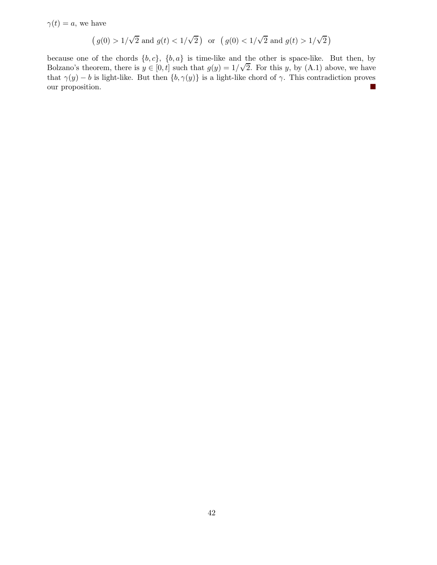$\gamma(t) = a$ , we have

$$
(g(0) > 1/\sqrt{2} \text{ and } g(t) < 1/\sqrt{2})
$$
 or  $(g(0) < 1/\sqrt{2} \text{ and } g(t) > 1/\sqrt{2})$ 

because one of the chords  $\{b, c\}$ ,  $\{b, a\}$  is time-like and the other is space-like. But then, by Bolzano's theorem, there is  $y \in [0, t]$  such that  $g(y) = 1/\sqrt{2}$ . For this y, by (A.1) above, we have that  $\gamma(y) - b$  is light-like. But then  $\{b, \gamma(y)\}$  is a light-like chord of  $\gamma$ . This contradiction proves our proposition. our proposition.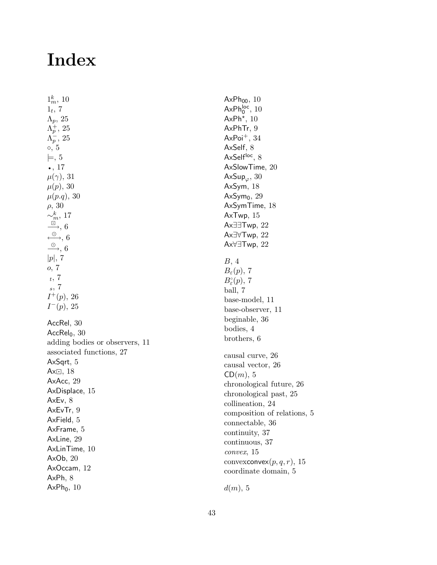# Index

 $1_m^k$ , 10  $1_t$ , 7  $\Lambda_p$ , 25  $\Lambda_p^+$ , 25  $\Lambda_p^-$ , 25 ◦, 5  $\models$ , 5 • , 17  $\mu(\gamma)$ , 31  $\mu(p)$ , 30  $\mu(p.q)$ , 30  $\rho$ , 30  $\sim_m^k$ , 17  $\frac{\Box}{\circ}$ , 6 ←→, 6  $\stackrel{\odot}{\longrightarrow}$ , 6  $|p|, 7$ <br> $o, 7$  $t, 7$ <sup>s</sup>, 7  $I^+(p)$ , 26  $I^-(p)$ , 25 AccRel , 30  $\mathsf{AccRel}_0,\,30$ adding b odies or observers, 11 associated functions, 27 AxSqrt , 5 A $\times$ D, 18 AxAcc , 29 AxDisplace , 15 AxEv , 8 AxEvTr, 9 AxField , 5 AxFrame , 5 AxLine , 29 AxLinTime , 10 AxOb , 20 AxOccam , 12 AxPh , 8  $AxPh_0$ , 10

 $AxPh_{00}$ , 10  $AxPh<sub>0</sub><sup>loc</sup>, 10$ AxPh<sup>\*</sup>,  $10$ AxPhT r , 9 Ax $\mathsf{Poi}^+, 34$ AxSelf , 8 AxSelf<sup>loc</sup>, 8 AxSlowTime , 20 AxSup $_\varphi, \, 30$ AxSym , 18 Ax $\mathsf{Sym}_0,\,29$ AxSymTime , 18 AxTwp , 15 Ax∃∃Twp , 22 Ax∃∀Twp , 22 Ax∀∃Twp , 22 B , 4  $B_\varepsilon(p),\,7$  $B^{\circ}_{\varepsilon}(p), 7$ ball, 7 base-model, 11 base-observer, 11 beginable, 36 bodies, 4 brothers, 6 causal curve, 26 causal vector, 26  $\mathsf{CD}(m),\,5$ chronological future, 26 chronological past, 25 collineation, 24 composition of relations, 5 connectable, 36 continuit y , 37 continuous, 37 convex, 15  $convexconvex(p,q,r), 15$ coordinate domain, 5

 $d(m),\,5$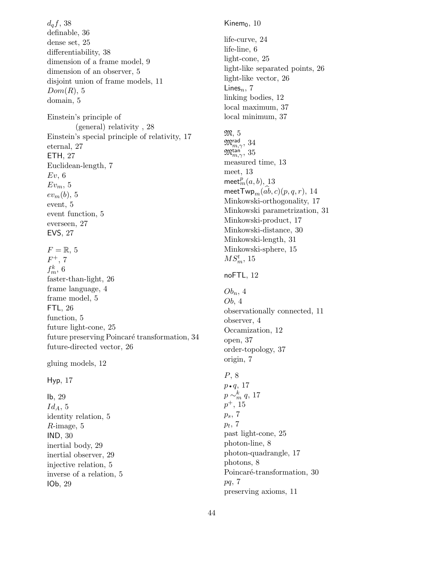$d_qf$ , 38 definable, 36 dense set, 25 differentiability, 38 dimension of a frame model, 9 dimension of an observer, 5 disjoint union of frame models, 11  $Dom(R), 5$ domain, 5 Einstein's principle of (general) relativity , 28 Einstein's special principle of relativity, 17 eternal, 27 ETH, 27 Euclidean-length, 7  $Ev, 6$  $Ev_m$ , 5  $ev_m(b)$ , 5 event, 5 event function, 5 everseen, 27 EVS, 27  $F = \mathbb{R}, 5$  $F^+$ , 7  $f_m^k, 6$ faster-than-light, 26 frame language, 4 frame model, 5 FTL, 26 function, 5 future light-cone, 25 future preserving Poincaré transformation, 34 future-directed vector, 26 gluing models, 12 Hyp, 17 Ib, 29  $Id_A$ , 5 identity relation, 5 R-image, 5 IND, 30 inertial body, 29 inertial observer, 29 injective relation, 5 inverse of a relation, 5 IOb, 29

Kinem $<sub>0</sub>$ , 10</sub> life-curve, 24 life-line, 6 light-cone, 25 light-like separated points, 26 light-like vector, 26 Lines $_n$ , 7 linking bodies, 12 local maximum, 37 local minimum, 37 M, 5  $\mathfrak{M}^{\mathsf{rad}}_{m,\gamma}$ , 34  $\mathfrak{M}^{\mathsf{tan}'}_{m,\gamma}$ , 35 measured time, 13 meet, 13 meet $^p_m(a,b),\,13$ meetTwp $_m(ab, c)(p, q, r)$ , 14 Minkowski-orthogonality, 17 Minkowski parametrization, 31 Minkowski-product, 17 Minkowski-distance, 30 Minkowski-length, 31 Minkowski-sphere, 15  $MS_m^t$ , 15 noFTL, 12  $Ob_n$ , 4 Ob, 4 observationally connected, 11 observer, 4 Occamization, 12 open, 37 order-topology, 37 origin, 7 P, 8  $p \cdot q$ , 17  $p \sim_m^k q$ , 17  $p^+, 15$  $p_s$ , 7  $p_t, 7$ past light-cone, 25 photon-line, 8

photon-quadrangle, 17 photons, 8 Poincaré-transformation, 30 pq, 7 preserving axioms, 11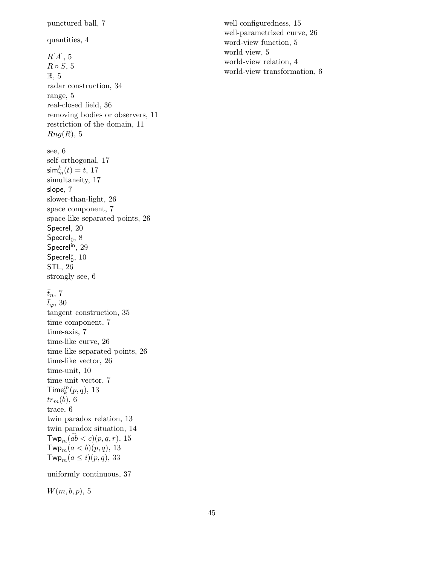#### punctured ball, 7

quantities, 4

 $R[A], 5$  $R \circ S, 5$ R, 5 radar construction, 34 range, 5 real-closed field, 36 removing bodies or observers, 11 restriction of the domain, 11  $Rng(R)$ , 5 see, 6 self-orthogonal, 17  $\mathsf{sim}_m^k(t)=t,\,17$ simultaneity, 17 slope, 7 slower-than-light, 26 space component, 7 space-like separated points, 26 Specrel, 20 Specrel $_0$ , 8 Specrel<sup>in</sup>, 29  $S$ pecrel $\zeta$ , 10 STL, 26 strongly see, 6

### $\bar{t}_n$ , 7

 $\bar{t}_{\varphi}$ , 30 tangent construction, 35 time component, 7 time-axis, 7 time-like curve, 26 time-like separated points, 26 time-like vector, 26 time-unit, 10 time-unit vector, 7  $\mathsf{Time}_k^m(p,q), 13$  $tr_m(b)$ , 6 trace, 6 twin paradox relation, 13 twin paradox situation, 14  $\mathsf{Twp}_{m}(\widehat{ab} < c)(p, q, r), 15$  $Tw p_m(a < b)(p, q), 13$  $Tw p_m(a \leq i)(p, q), 33$ 

uniformly continuous, 37

 $W(m, b, p), 5$ 

well-configuredness, 15 well-parametrized curve, 26 word-view function, 5 world-view, 5 world-view relation, 4 world-view transformation, 6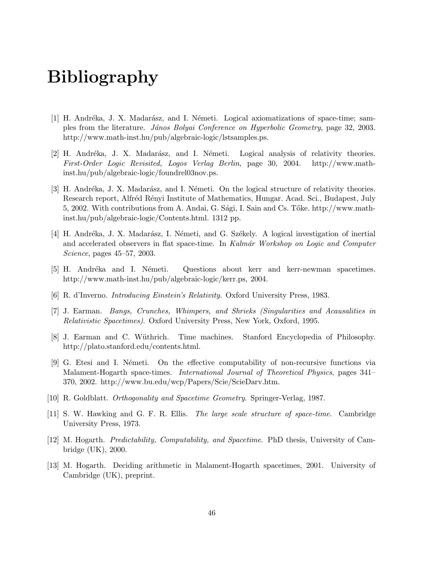# Bibliography

- [1] H. Andréka, J. X. Madarász, and I. Németi. Logical axiomatizations of space-time; samples from the literature. János Bolyai Conference on Hyperbolic Geometry, page 32, 2003. http://www.math-inst.hu/pub/algebraic-logic/lstsamples.ps.
- [2] H. Andréka, J. X. Madarász, and I. Németi. Logical analysis of relativity theories. First-Order Logic Revisited, Logos Verlag Berlin, page 30, 2004. http://www.mathinst.hu/pub/algebraic-logic/foundrel03nov.ps.
- [3] H. Andréka, J. X. Madarász, and I. Németi. On the logical structure of relativity theories. Research report, Alfréd Rényi Institute of Mathematics, Hungar. Acad. Sci., Budapest, July 5, 2002. With contributions from A. Andai, G. Sági, I. Sain and Cs. Tőke. http://www.mathinst.hu/pub/algebraic-logic/Contents.html. 1312 pp.
- [4] H. Andréka, J. X. Madarász, I. Németi, and G. Székely. A logical investigation of inertial and accelerated observers in flat space-time. In Kalmár Workshop on Logic and Computer Science, pages 45–57, 2003.
- [5] H. Andréka and I. Németi. Questions about kerr and kerr-newman spacetimes. http://www.math-inst.hu/pub/algebraic-logic/kerr.ps, 2004.
- [6] R. d'Inverno. Introducing Einstein's Relativity. Oxford University Press, 1983.
- [7] J. Earman. Bangs, Crunches, Whimpers, and Shrieks (Singularities and Acausalities in Relativistic Spacetimes). Oxford University Press, New York, Oxford, 1995.
- [8] J. Earman and C. Wüthrich. Time machines. Stanford Encyclopedia of Philosophy. http://plato.stanford.edu/contents.html.
- [9] G. Etesi and I. N´emeti. On the effective computability of non-recursive functions via Malament-Hogarth space-times. International Journal of Theoretical Physics, pages 341– 370, 2002. http://www.bu.edu/wcp/Papers/Scie/ScieDarv.htm.
- [10] R. Goldblatt. Orthogonality and Spacetime Geometry. Springer-Verlag, 1987.
- [11] S. W. Hawking and G. F. R. Ellis. The large scale structure of space-time. Cambridge University Press, 1973.
- [12] M. Hogarth. Predictability, Computability, and Spacetime. PhD thesis, University of Cambridge (UK), 2000.
- [13] M. Hogarth. Deciding arithmetic in Malament-Hogarth spacetimes, 2001. University of Cambridge (UK), preprint.